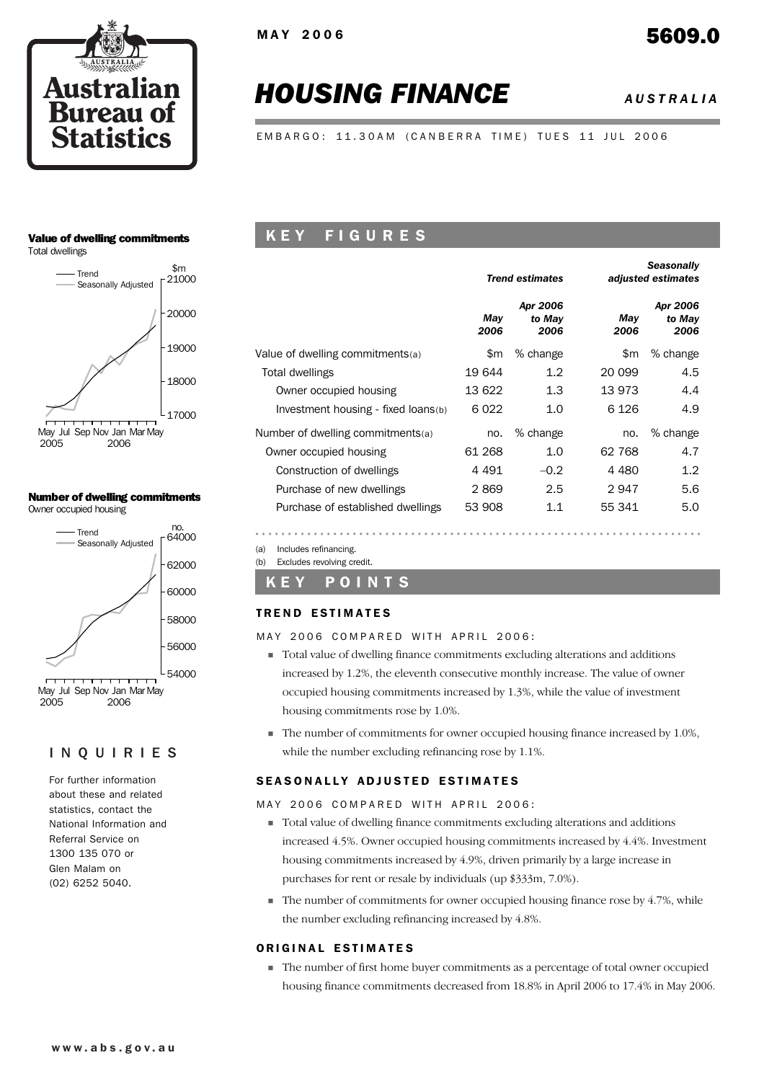

# *HOUSING FINANCE AUSTRALIA*

EMBARGO: 11.30AM (CANBERRA TIME) TUES 11 JUL 2006

#### Value of dwelling commitments

Total dwellings



#### Number of dwelling commitments Owner occupied housing



## INQUIRIES

For further information about these and related statistics, contact the National Information and Referral Service on 1300 135 070 or Glen Malam on (02) 6252 5040.

## K E Y F I G U R E S

|                                     |             | <b>Trend estimates</b>     | <b>Seasonally</b><br>adjusted estimates |                            |  |  |
|-------------------------------------|-------------|----------------------------|-----------------------------------------|----------------------------|--|--|
|                                     | May<br>2006 | Apr 2006<br>to May<br>2006 | Mav<br>2006                             | Apr 2006<br>to May<br>2006 |  |  |
| Value of dwelling commitments(a)    | \$m         | % change                   | \$m                                     | % change                   |  |  |
| Total dwellings                     | 19 644      | 1.2                        | 20 099                                  | 4.5                        |  |  |
| Owner occupied housing              | 13 622      | 1.3                        | 13 973                                  | 4.4                        |  |  |
| Investment housing - fixed loans(b) | 6022        | 1.0                        | 6 1 2 6                                 | 4.9                        |  |  |
| Number of dwelling commitments(a)   | no.         | % change                   | no.                                     | % change                   |  |  |
| Owner occupied housing              | 61 268      | 1.0                        | 62 768                                  | 4.7                        |  |  |
| Construction of dwellings           | 4 491       | $-0.2$                     | 4 4 8 0                                 | 1.2                        |  |  |
| Purchase of new dwellings           | 2869        | 2.5                        | 2947                                    | 5.6                        |  |  |
| Purchase of established dwellings   | 53 908      | 1.1                        | 55 341                                  | 5.0                        |  |  |

(a) Includes refinancing. (b) Excludes revolving credit.

## K E Y POINTS

#### **TREND ESTIMATES**

#### MAY 2006 COMPARED WITH APRIL 2006:

- ! Total value of dwelling finance commitments excluding alterations and additions increased by 1.2%, the eleventh consecutive monthly increase. The value of owner occupied housing commitments increased by 1.3%, while the value of investment housing commitments rose by 1.0%.
- ! The number of commitments for owner occupied housing finance increased by 1.0%, while the number excluding refinancing rose by 1.1%.

#### SEASONALLY ADJUSTED ESTIMATES

#### MAY 2006 COMPARED WITH APRIL 2006:

- ! Total value of dwelling finance commitments excluding alterations and additions increased 4.5%. Owner occupied housing commitments increased by 4.4%. Investment housing commitments increased by 4.9%, driven primarily by a large increase in purchases for rent or resale by individuals (up \$333m, 7.0%).
- $\blacksquare$  The number of commitments for owner occupied housing finance rose by 4.7%, while the number excluding refinancing increased by 4.8%.

#### ORIGINAL ESTIMATES

! The number of first home buyer commitments as a percentage of total owner occupied housing finance commitments decreased from 18.8% in April 2006 to 17.4% in May 2006.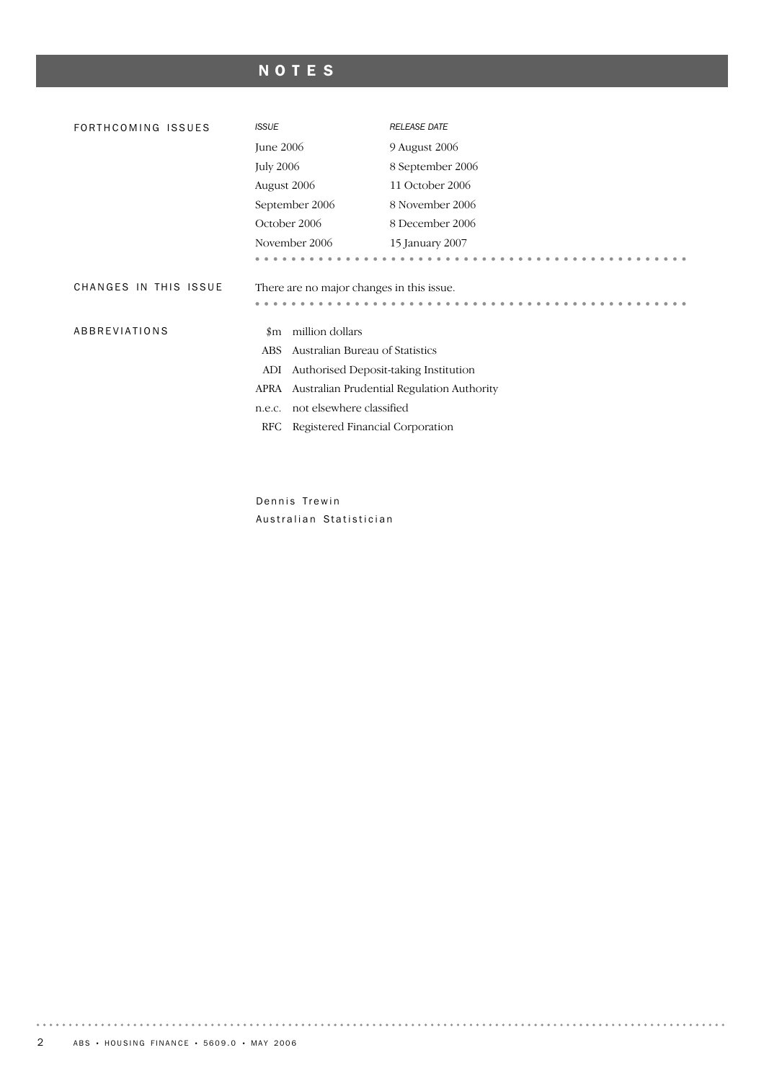## NOTES

| FORTHCOMING ISSUES    | <b>ISSUE</b>                              | <b>RELEASE DATE</b>                        |  |  |  |  |  |
|-----------------------|-------------------------------------------|--------------------------------------------|--|--|--|--|--|
|                       | June 2006                                 | 9 August 2006                              |  |  |  |  |  |
|                       | <b>July 2006</b>                          | 8 September 2006                           |  |  |  |  |  |
|                       | August 2006                               | 11 October 2006                            |  |  |  |  |  |
|                       | September 2006                            | 8 November 2006                            |  |  |  |  |  |
|                       | October 2006                              | 8 December 2006                            |  |  |  |  |  |
|                       | November 2006                             | 15 January 2007                            |  |  |  |  |  |
|                       |                                           |                                            |  |  |  |  |  |
| CHANGES IN THIS ISSUE | There are no major changes in this issue. |                                            |  |  |  |  |  |
|                       |                                           |                                            |  |  |  |  |  |
| ABBREVIATIONS         | million dollars<br>$_{\rm sm}$            |                                            |  |  |  |  |  |
|                       | Australian Bureau of Statistics<br>ABS    |                                            |  |  |  |  |  |
|                       | ADI                                       | Authorised Deposit-taking Institution      |  |  |  |  |  |
|                       | APRA                                      | Australian Prudential Regulation Authority |  |  |  |  |  |
|                       | not elsewhere classified<br>n.e.c.        |                                            |  |  |  |  |  |
|                       | Registered Financial Corporation<br>RFC   |                                            |  |  |  |  |  |
|                       |                                           |                                            |  |  |  |  |  |

Dennis Trewin Australian Statistician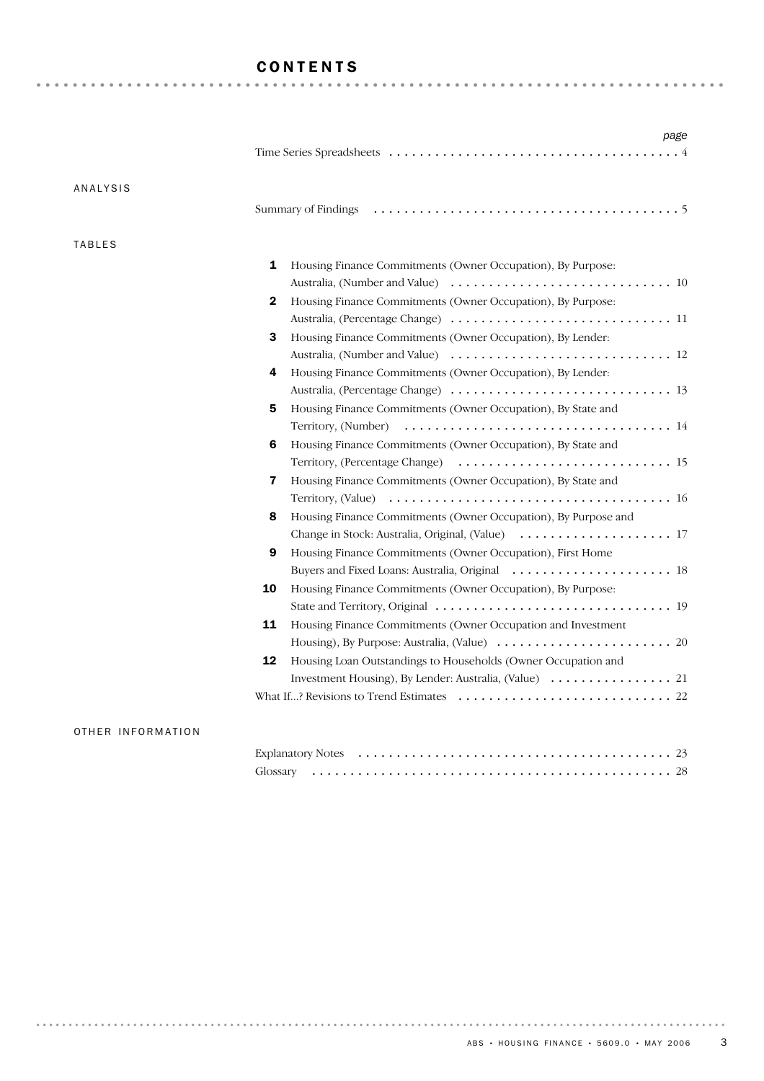## CONTENTS

| ANALYSIS      |                                                                     |
|---------------|---------------------------------------------------------------------|
|               |                                                                     |
| <b>TABLES</b> |                                                                     |
|               | 1<br>Housing Finance Commitments (Owner Occupation), By Purpose:    |
|               |                                                                     |
|               | Housing Finance Commitments (Owner Occupation), By Purpose:<br>2    |
|               |                                                                     |
|               | 3<br>Housing Finance Commitments (Owner Occupation), By Lender:     |
|               |                                                                     |
|               | Housing Finance Commitments (Owner Occupation), By Lender:<br>4     |
|               |                                                                     |
|               | 5<br>Housing Finance Commitments (Owner Occupation), By State and   |
|               | Territory, (Number)                                                 |
|               | 6<br>Housing Finance Commitments (Owner Occupation), By State and   |
|               |                                                                     |
|               | 7<br>Housing Finance Commitments (Owner Occupation), By State and   |
|               |                                                                     |
|               | 8<br>Housing Finance Commitments (Owner Occupation), By Purpose and |
|               |                                                                     |
|               | 9<br>Housing Finance Commitments (Owner Occupation), First Home     |
|               |                                                                     |
|               | 10<br>Housing Finance Commitments (Owner Occupation), By Purpose:   |
|               |                                                                     |
|               | 11<br>Housing Finance Commitments (Owner Occupation and Investment  |
|               |                                                                     |
|               | 12<br>Housing Loan Outstandings to Households (Owner Occupation and |
|               |                                                                     |
|               |                                                                     |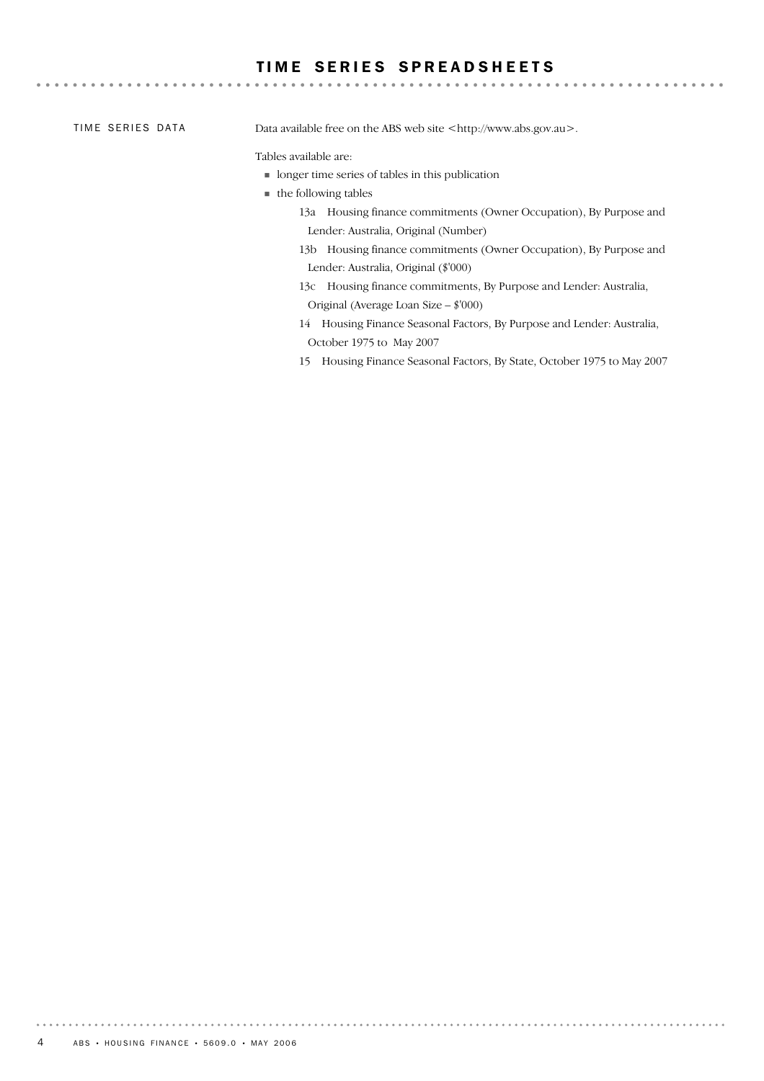## TIME SERIES SPREADSHEETS

TIME SERIES DATA

Data available free on the ABS web site <http://www.abs.gov.au>.

#### Tables available are:

- ! longer time series of tables in this publication
- the following tables
	- 13a Housing finance commitments (Owner Occupation), By Purpose and Lender: Australia, Original (Number)

- 13b Housing finance commitments (Owner Occupation), By Purpose and Lender: Australia, Original (\$'000)
- 13c Housing finance commitments, By Purpose and Lender: Australia, Original (Average Loan Size – \$'000)
- 14 Housing Finance Seasonal Factors, By Purpose and Lender: Australia, October 1975 to May 2007
- 15 Housing Finance Seasonal Factors, By State, October 1975 to May 2007

. . . . . . .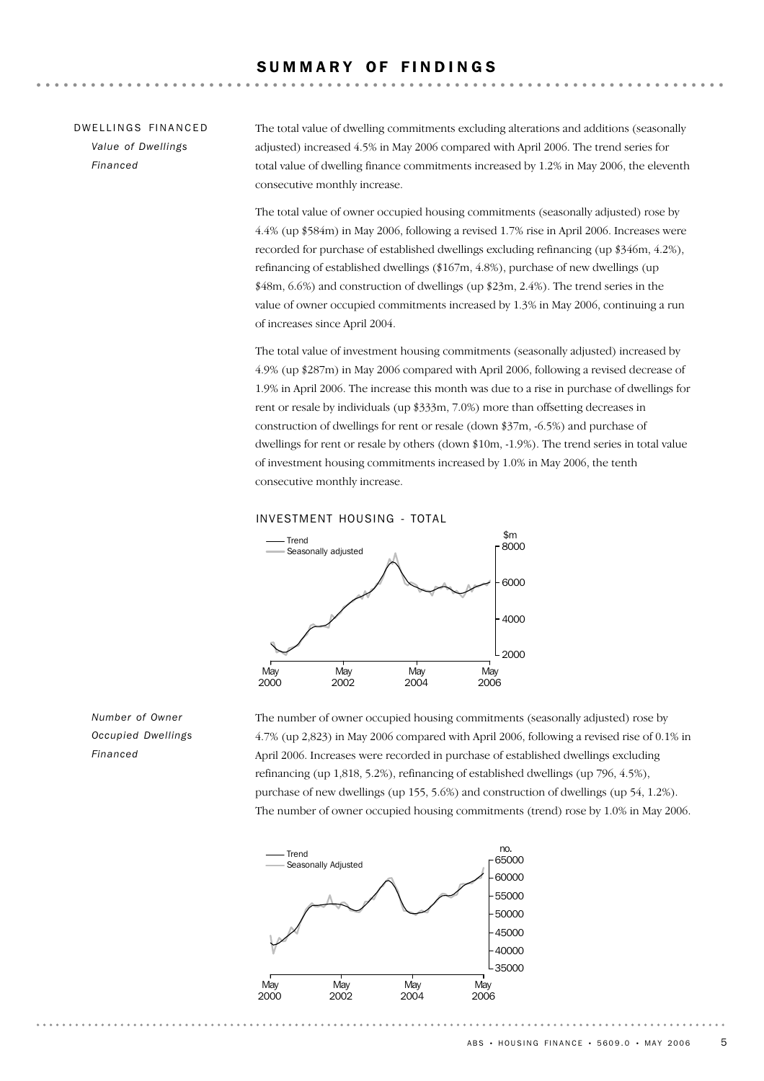## SUMMARY OF FINDINGS

## DW FILINGS FINANCED *Value of Dwellings Financed*

The total value of dwelling commitments excluding alterations and additions (seasonally adjusted) increased 4.5% in May 2006 compared with April 2006. The trend series for total value of dwelling finance commitments increased by 1.2% in May 2006, the eleventh consecutive monthly increase.

The total value of owner occupied housing commitments (seasonally adjusted) rose by 4.4% (up \$584m) in May 2006, following a revised 1.7% rise in April 2006. Increases were recorded for purchase of established dwellings excluding refinancing (up \$346m, 4.2%), refinancing of established dwellings (\$167m, 4.8%), purchase of new dwellings (up \$48m, 6.6%) and construction of dwellings (up \$23m, 2.4%). The trend series in the value of owner occupied commitments increased by 1.3% in May 2006, continuing a run of increases since April 2004.

The total value of investment housing commitments (seasonally adjusted) increased by 4.9% (up \$287m) in May 2006 compared with April 2006, following a revised decrease of 1.9% in April 2006. The increase this month was due to a rise in purchase of dwellings for rent or resale by individuals (up \$333m, 7.0%) more than offsetting decreases in construction of dwellings for rent or resale (down \$37m, -6.5%) and purchase of dwellings for rent or resale by others (down \$10m, -1.9%). The trend series in total value of investment housing commitments increased by 1.0% in May 2006, the tenth consecutive monthly increase.





The number of owner occupied housing commitments (seasonally adjusted) rose by 4.7% (up 2,823) in May 2006 compared with April 2006, following a revised rise of 0.1% in April 2006. Increases were recorded in purchase of established dwellings excluding refinancing (up 1,818, 5.2%), refinancing of established dwellings (up 796, 4.5%), purchase of new dwellings (up 155, 5.6%) and construction of dwellings (up 54, 1.2%). The number of owner occupied housing commitments (trend) rose by 1.0% in May 2006.



*Number of Owner Occupied Dwellings Financed*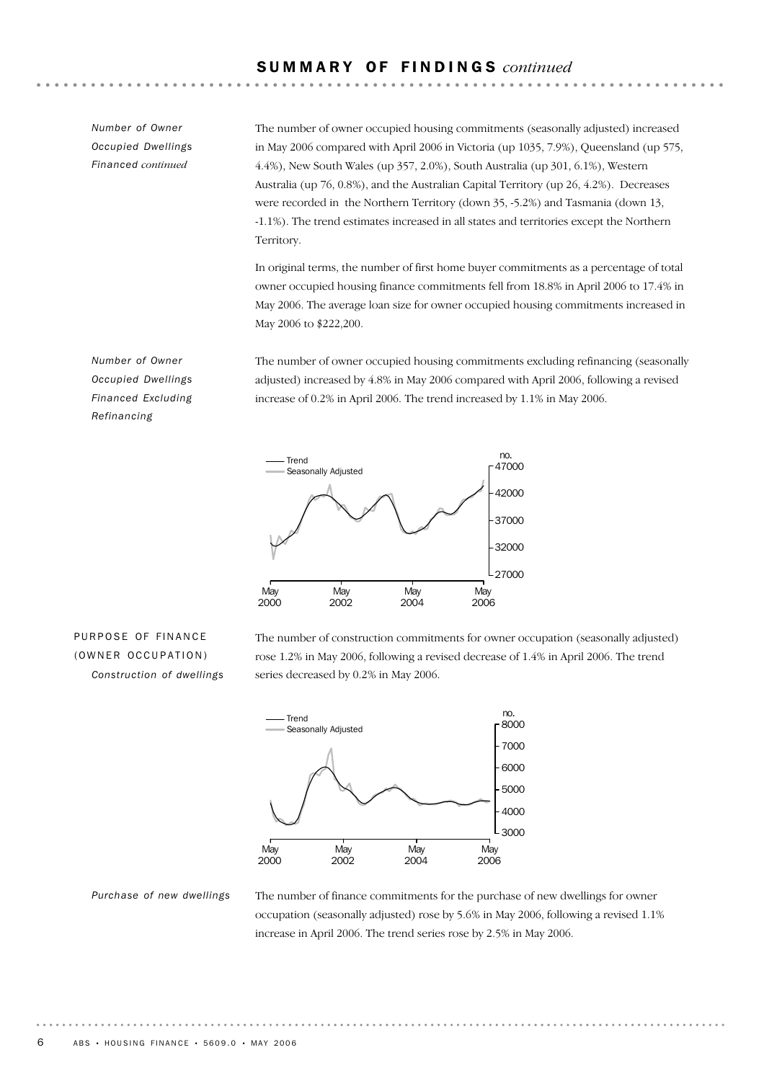*Number of Owner Occupied Dwellings Financed continued*

The number of owner occupied housing commitments (seasonally adjusted) increased in May 2006 compared with April 2006 in Victoria (up 1035, 7.9%), Queensland (up 575, 4.4%), New South Wales (up 357, 2.0%), South Australia (up 301, 6.1%), Western Australia (up 76, 0.8%), and the Australian Capital Territory (up 26, 4.2%). Decreases were recorded in the Northern Territory (down 35, -5.2%) and Tasmania (down 13, -1.1%). The trend estimates increased in all states and territories except the Northern Territory.

In original terms, the number of first home buyer commitments as a percentage of total owner occupied housing finance commitments fell from 18.8% in April 2006 to 17.4% in May 2006. The average loan size for owner occupied housing commitments increased in May 2006 to \$222,200.

The number of owner occupied housing commitments excluding refinancing (seasonally adjusted) increased by 4.8% in May 2006 compared with April 2006, following a revised increase of 0.2% in April 2006. The trend increased by 1.1% in May 2006.



PURPOSE OF FINANCE (OWNER OCCUPATION) *Construction of dwellings* The number of construction commitments for owner occupation (seasonally adjusted) rose 1.2% in May 2006, following a revised decrease of 1.4% in April 2006. The trend series decreased by 0.2% in May 2006.



*Purchase of new dwellings*

The number of finance commitments for the purchase of new dwellings for owner occupation (seasonally adjusted) rose by 5.6% in May 2006, following a revised 1.1% increase in April 2006. The trend series rose by 2.5% in May 2006.

*Number of Owner Occupied Dwellings Financed Excluding Refinancing*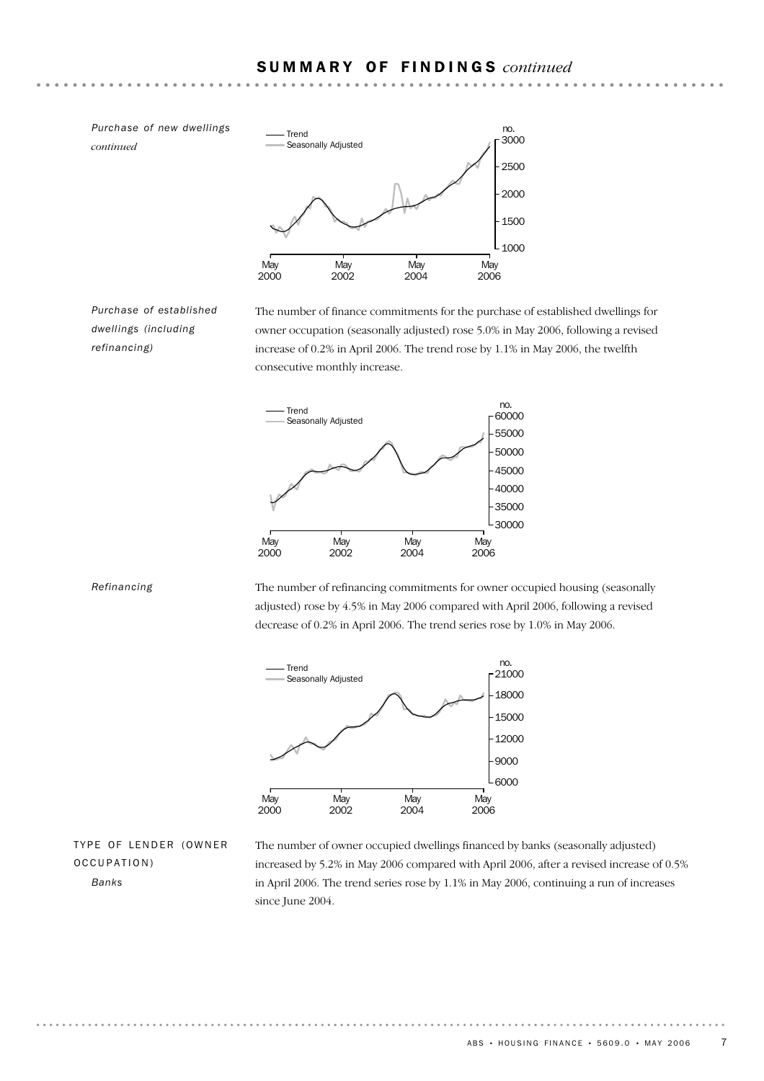

*Purchase of established dwellings (including refinancing)*

The number of finance commitments for the purchase of established dwellings for owner occupation (seasonally adjusted) rose 5.0% in May 2006, following a revised increase of 0.2% in April 2006. The trend rose by 1.1% in May 2006, the twelfth consecutive monthly increase.



*Refinancing*

The number of refinancing commitments for owner occupied housing (seasonally adjusted) rose by 4.5% in May 2006 compared with April 2006, following a revised decrease of 0.2% in April 2006. The trend series rose by 1.0% in May 2006.



TYPE OF LENDER (OWNER OCCUPATION) *Banks*

The number of owner occupied dwellings financed by banks (seasonally adjusted) increased by 5.2% in May 2006 compared with April 2006, after a revised increase of 0.5% in April 2006. The trend series rose by 1.1% in May 2006, continuing a run of increases since June 2004.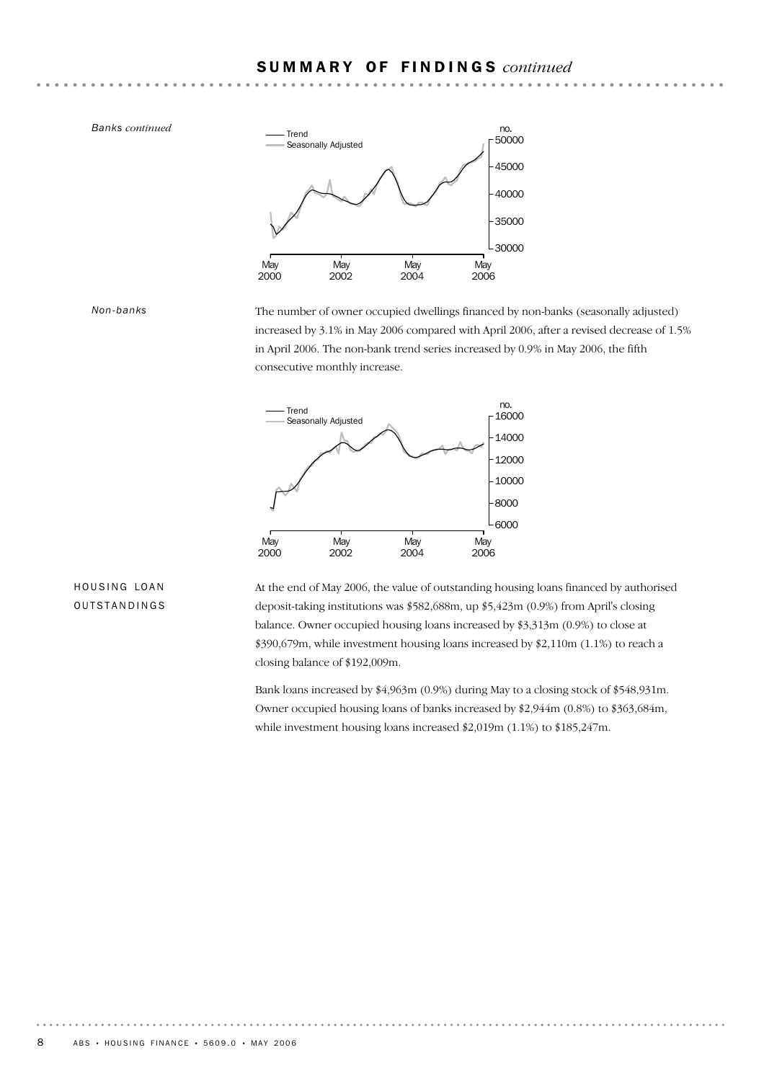

The number of owner occupied dwellings financed by non-banks (seasonally adjusted) increased by 3.1% in May 2006 compared with April 2006, after a revised decrease of 1.5% in April 2006. The non-bank trend series increased by 0.9% in May 2006, the fifth consecutive monthly increase.



## HOUSING LOAN OUTSTANDINGS

At the end of May 2006, the value of outstanding housing loans financed by authorised deposit-taking institutions was \$582,688m, up \$5,423m (0.9%) from April's closing balance. Owner occupied housing loans increased by \$3,313m (0.9%) to close at \$390,679m, while investment housing loans increased by \$2,110m (1.1%) to reach a closing balance of \$192,009m.

Bank loans increased by \$4,963m (0.9%) during May to a closing stock of \$548,931m. Owner occupied housing loans of banks increased by \$2,944m (0.8%) to \$363,684m, while investment housing loans increased \$2,019m (1.1%) to \$185,247m.

*Non-banks*

*Banks continued*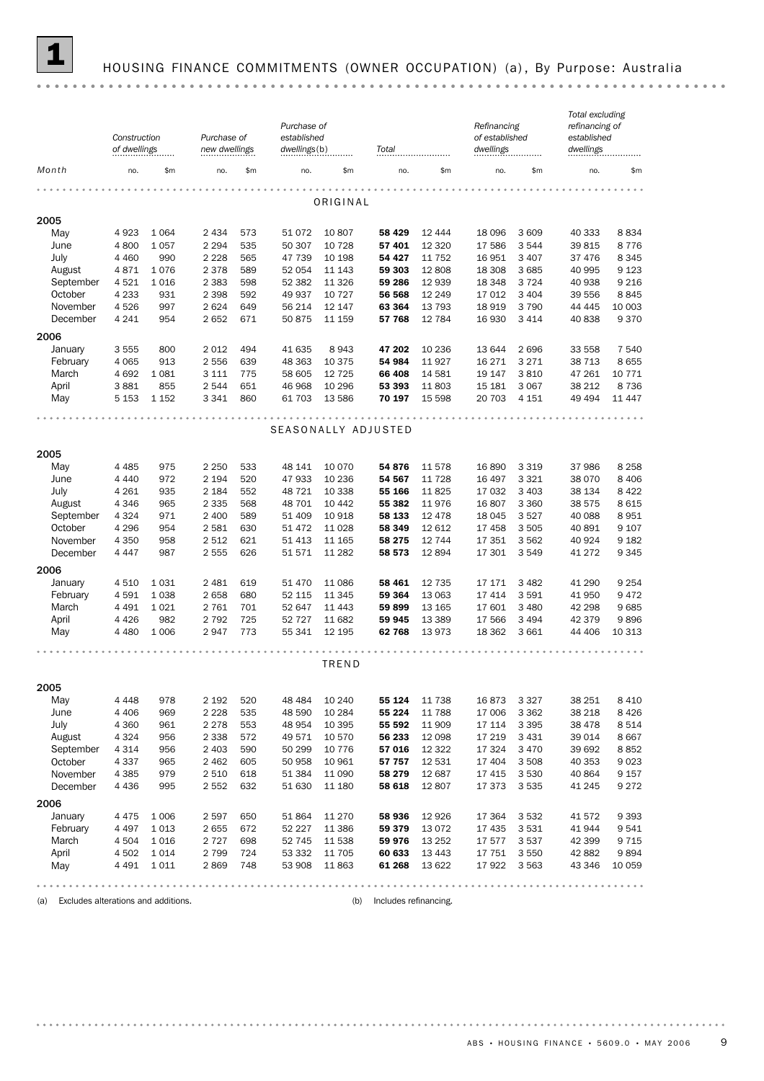

## 1 HOUSING FINANCE COMMITMENTS (OWNER OCCUPATION) (a) , By Purpose: Australia

|                                            | Construction<br>of dwellings |             | Purchase of<br>new dwellings |            | Purchase of<br>established<br>dwellings(b) |                  | Total                 |                   | Refinancing<br>of established<br>dwellings |                    | Total excluding<br>refinancing of<br>established<br>dwellings |                  |
|--------------------------------------------|------------------------------|-------------|------------------------------|------------|--------------------------------------------|------------------|-----------------------|-------------------|--------------------------------------------|--------------------|---------------------------------------------------------------|------------------|
| Month                                      | no.                          | \$m         | no.                          | \$m        | no.                                        | \$m              | no.                   | \$m               | no.                                        | \$m                | no.                                                           | \$m              |
|                                            |                              |             |                              |            |                                            |                  |                       |                   |                                            |                    |                                                               |                  |
|                                            |                              |             |                              |            |                                            | ORIGINAL         |                       |                   |                                            |                    |                                                               |                  |
| 2005                                       |                              |             |                              |            |                                            |                  |                       |                   |                                            |                    |                                                               |                  |
| May                                        | 4923                         | 1 0 6 4     | 2 4 3 4                      | 573<br>535 | 51 0 72                                    | 10 807<br>10 728 | 58 429<br>57 401      | 12 4 4 4          | 18 0 96                                    | 3 6 0 9<br>3544    | 40 333<br>39 815                                              | 8834             |
| June<br>July                               | 4 800<br>4 4 6 0             | 1057<br>990 | 2 2 9 4<br>2 2 2 8           | 565        | 50 307<br>47 739                           | 10 198           | 54 427                | 12 3 20<br>11 752 | 17 586<br>16 951                           | 3 4 0 7            | 37 476                                                        | 8776<br>8 3 4 5  |
| August                                     | 4871                         | 1076        | 2 3 7 8                      | 589        | 52 054                                     | 11 143           | 59 303                | 12 808            | 18 308                                     | 3 6 8 5            | 40 995                                                        | 9 1 23           |
| September                                  | 4521                         | 1016        | 2 3 8 3                      | 598        | 52 382                                     | 11 3 26          | 59 286                | 12 9 39           | 18 348                                     | 3724               | 40 938                                                        | 9 2 1 6          |
| October                                    | 4 2 3 3                      | 931         | 2 3 9 8                      | 592        | 49 937                                     | 10 727           | 56 568                | 12 2 4 9          | 17 012                                     | 3 4 0 4            | 39 556                                                        | 8845             |
| November                                   | 4526                         | 997         | 2624                         | 649        | 56 214                                     | 12 147           | 63 364                | 13 7 9 3          | 18 9 19                                    | 3790               | 44 4 45                                                       | 10 003           |
| December                                   | 4 2 4 1                      | 954         | 2652                         | 671        | 50 875                                     | 11 159           | 57 768                | 12 784            | 16 930                                     | 3 4 1 4            | 40 838                                                        | 9370             |
|                                            |                              |             |                              |            |                                            |                  |                       |                   |                                            |                    |                                                               |                  |
| 2006                                       |                              |             |                              |            |                                            |                  |                       |                   |                                            |                    |                                                               |                  |
| January<br>February                        | 3 5 5 5<br>4 0 6 5           | 800<br>913  | 2012<br>2556                 | 494<br>639 | 41 635                                     | 8943<br>10 375   | 47 202<br>54 984      | 10 236<br>11927   | 13 644<br>16 27 1                          | 2696<br>3 2 7 1    | 33 558<br>38 713                                              | 7 540<br>8 6 5 5 |
| March                                      | 4 6 9 2                      | 1 0 8 1     | 3 1 1 1                      | 775        | 48 363<br>58 605                           | 12 7 25          | 66 408                | 14 581            | 19 147                                     | 3810               | 47 261                                                        | 10 771           |
| April                                      | 3881                         | 855         | 2 5 4 4                      | 651        | 46 968                                     | 10 29 6          | 53 393                | 11803             | 15 181                                     | 3 0 6 7            | 38 212                                                        | 8 7 3 6          |
| May                                        | 5 1 5 3                      | 1 1 5 2     | 3 3 4 1                      | 860        | 61 703                                     | 13 586           | 70 197                | 15 5 98           | 20 703                                     | 4 1 5 1            | 49 4 94                                                       | 11 447           |
|                                            |                              |             |                              |            |                                            |                  |                       |                   |                                            |                    |                                                               |                  |
|                                            |                              |             |                              |            |                                            |                  | SEASONALLY ADJUSTED   |                   |                                            |                    |                                                               |                  |
|                                            |                              |             |                              |            |                                            |                  |                       |                   |                                            |                    |                                                               |                  |
| 2005                                       |                              |             |                              |            |                                            |                  |                       |                   |                                            |                    |                                                               |                  |
| May                                        | 4 4 8 5                      | 975         | 2 2 5 0                      | 533        | 48 141                                     | 10 070           | 54 876                | 11578             | 16 890                                     | 3 3 1 9            | 37 986                                                        | 8 2 5 8          |
| June                                       | 4 4 4 0                      | 972         | 2 1 9 4                      | 520        | 47 933                                     | 10 236           | 54 567                | 11 7 28           | 16 497                                     | 3 3 2 1            | 38 0 70                                                       | 8 4 0 6          |
| July                                       | 4 2 6 1                      | 935         | 2 1 8 4                      | 552        | 48 721                                     | 10 338           | 55 166                | 11825             | 17 032                                     | 3 4 0 3            | 38 134                                                        | 8 4 2 2          |
| August                                     | 4 3 4 6                      | 965         | 2 3 3 5                      | 568        | 48 701                                     | 10 442           | 55 382                | 11976             | 16 807                                     | 3 3 6 0            | 38 575                                                        | 8 6 1 5          |
| September                                  | 4 3 2 4                      | 971         | 2 400                        | 589        | 51 409                                     | 10 918           | 58 133                | 12 4 78           | 18 045                                     | 3527               | 40 088                                                        | 8951             |
| October                                    | 4 2 9 6                      | 954         | 2581                         | 630        | 51 472                                     | 11 0 28          | 58 349                | 12 612            | 17 458                                     | 3505               | 40 891                                                        | 9 107            |
| November                                   | 4 3 5 0                      | 958         | 2 5 1 2                      | 621        | 51 4 13                                    | 11 165           | 58 275                | 12 744            | 17 351                                     | 3562               | 40 924                                                        | 9 1 8 2          |
| December                                   | 4 4 4 7                      | 987         | 2555                         | 626        | 51571                                      | 11 282           | 58 573                | 12894             | 17 301                                     | 3549               | 41 272                                                        | 9 3 4 5          |
| 2006                                       |                              |             |                              |            |                                            |                  |                       |                   |                                            |                    |                                                               |                  |
| January                                    | 4510                         | 1031        | 2 4 8 1                      | 619        | 51 470                                     | 11 086           | 58 461                | 12 7 35           | 17 17 1                                    | 3 4 8 2            | 41 290                                                        | 9 2 5 4          |
| February                                   | 4 5 9 1                      | 1038        | 2658                         | 680        | 52 115                                     | 11 345           | 59 364                | 13 063            | 17 414                                     | 3591               | 41 950                                                        | 9 4 7 2          |
| March                                      | 4 4 9 1                      | 1 0 2 1     | 2 7 6 1                      | 701        | 52 647                                     | 11 443           | 59899                 | 13 165            | 17 601                                     | 3 4 8 0            | 42 298                                                        | 9685             |
| April                                      | 4 4 2 6                      | 982         | 2 7 9 2                      | 725        | 52 7 2 7                                   | 11 682           | 59 945                | 13 3 8 9          | 17 566                                     | 3 4 9 4            | 42 379                                                        | 9896             |
| May                                        | 4 4 8 0                      | 1 0 0 6     | 2947                         | 773        | 55 341                                     | 12 195           | 62768                 | 13973             | 18 3 62                                    | 3661               | 44 40 6                                                       | 10 313           |
|                                            |                              |             |                              |            |                                            | TREND            |                       |                   |                                            |                    |                                                               |                  |
|                                            |                              |             |                              |            |                                            |                  |                       |                   |                                            |                    |                                                               |                  |
| 2005                                       |                              |             |                              |            |                                            |                  |                       |                   |                                            |                    |                                                               |                  |
| May                                        | 4 4 4 8                      | 978         | 2 1 9 2                      | 520        | 48 4 84                                    | 10 240           | 55 124                | 11 738            | 16873                                      | 3 3 2 7            | 38 251                                                        | 8 4 1 0          |
| June                                       | 4 4 0 6                      | 969         | 2 2 2 8                      | 535        | 48 590                                     | 10 284           | 55 224                | 11 788            | 17 006                                     | 3 3 6 2            | 38 218                                                        | 8426             |
| July                                       | 4 3 6 0                      | 961         | 2 2 7 8                      | 553        | 48 954                                     | 10 395           | 55 592                | 11 909            | 17 114                                     | 3 3 9 5            | 38 478                                                        | 8 5 1 4          |
| August                                     | 4 3 2 4                      | 956         | 2 3 3 8                      | 572        | 49 571                                     | 10 570           | 56 233                | 12 0 98           | 17 219                                     | 3 4 3 1            | 39 014                                                        | 8 6 6 7          |
| September                                  | 4 3 1 4                      | 956         | 2 4 0 3                      | 590        | 50 299                                     | 10 776           | 57 016                | 12 3 22<br>12 531 | 17 324<br>17 404                           | 3 4 7 0            | 39 692                                                        | 8852             |
| October<br>November                        | 4 3 3 7<br>4 3 8 5           | 965<br>979  | 2 4 6 2<br>2 5 1 0           | 605<br>618 | 50 958<br>51 384                           | 10 961<br>11 090 | 57 757<br>58 279      | 12 687            | 17 4 15                                    | 3 5 0 8<br>3 5 3 0 | 40 353<br>40 864                                              | 9023<br>9 1 5 7  |
| December                                   | 4 4 3 6                      | 995         | 2 5 5 2                      | 632        | 51 630                                     | 11 180           | 58 618                | 12807             | 17 373                                     | 3 5 3 5            | 41 245                                                        | 9 2 7 2          |
|                                            |                              |             |                              |            |                                            |                  |                       |                   |                                            |                    |                                                               |                  |
| 2006                                       |                              |             |                              |            |                                            |                  |                       |                   |                                            |                    |                                                               |                  |
| January                                    | 4 4 7 5                      | 1 0 0 6     | 2597                         | 650        | 51 864                                     | 11 270           | 58 936                | 12 9 26           | 17 364                                     | 3 5 3 2            | 41 572                                                        | 9 3 9 3          |
| February                                   | 4 4 9 7                      | 1013        | 2655                         | 672        | 52 227                                     | 11 386           | 59 379                | 13 0 72           | 17 435                                     | 3531               | 41 944                                                        | 9541             |
| March                                      | 4 5 0 4                      | 1016        | 2 7 2 7                      | 698        | 52 745                                     | 11 538           | 59 976                | 13 2 5 2          | 17 577                                     | 3537               | 42 399                                                        | 9 7 1 5          |
| April                                      | 4 5 0 2<br>4 4 9 1           | 1014        | 2 7 9 9<br>2869              | 724<br>748 | 53 332<br>53 908                           | 11 705           | 60 633<br>61 268      | 13 4 43           | 17 751<br>17 922                           | 3 5 5 0<br>3 5 6 3 | 42 882                                                        | 9894<br>10 059   |
| May                                        |                              | 1011        |                              |            |                                            | 11 863           |                       | 13 622            |                                            |                    | 43 346                                                        |                  |
|                                            |                              |             |                              |            |                                            |                  |                       |                   |                                            |                    |                                                               |                  |
| Excludes alterations and additions.<br>(a) |                              |             |                              |            |                                            | (b)              | Includes refinancing. |                   |                                            |                    |                                                               |                  |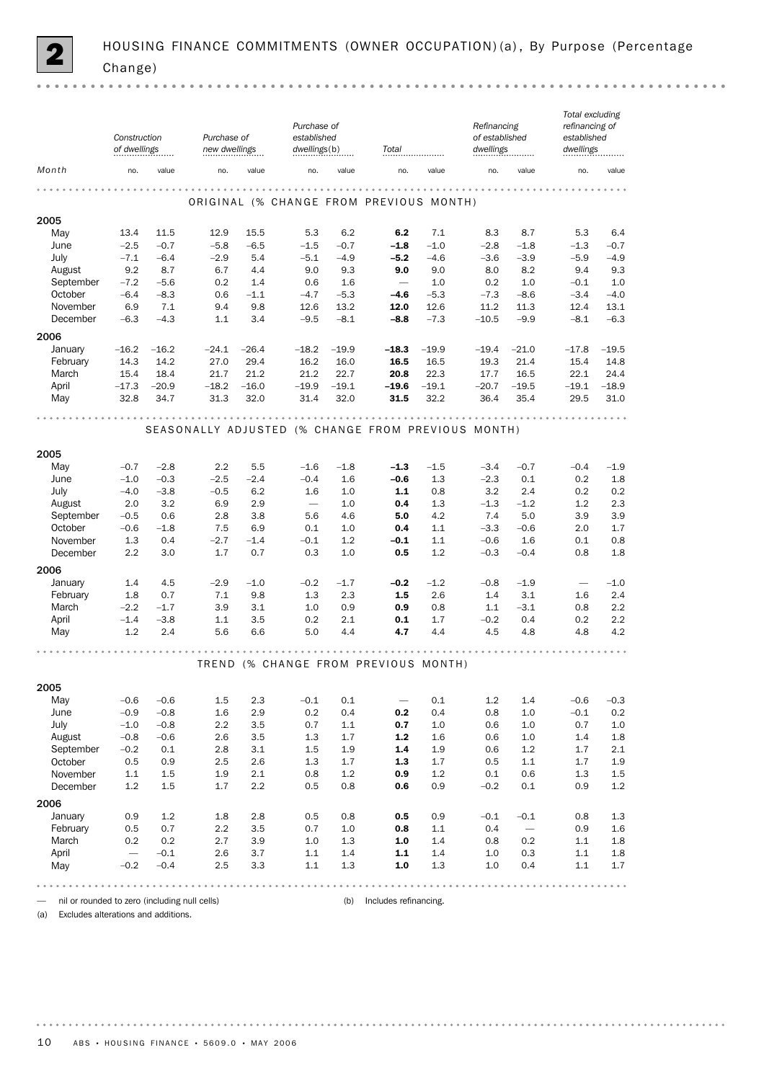|                     | Construction<br>of dwellings |                  | Purchase of<br>new dwellings |               | Purchase of<br>established<br>dwellings(b) |               | Total                                              |            | Refinancing<br>of established<br>dwellings |                 | Total excluding<br>refinancing of<br>established<br>dwellings |            |
|---------------------|------------------------------|------------------|------------------------------|---------------|--------------------------------------------|---------------|----------------------------------------------------|------------|--------------------------------------------|-----------------|---------------------------------------------------------------|------------|
| Month               | no.                          | value            | no.                          | value         | no.                                        | value         | no.                                                | value      | no.                                        | value           | no.                                                           | value      |
|                     |                              |                  |                              |               |                                            |               | ORIGINAL (% CHANGE FROM PREVIOUS MONTH)            |            | .                                          |                 |                                                               |            |
| 2005                |                              |                  |                              |               |                                            |               |                                                    |            |                                            |                 |                                                               |            |
| May                 | 13.4                         | 11.5             | 12.9                         | 15.5          | 5.3                                        | 6.2           | 6.2                                                | 7.1        | 8.3                                        | 8.7             | 5.3                                                           | 6.4        |
| June                | $-2.5$                       | $-0.7$           | $-5.8$                       | $-6.5$        | $-1.5$                                     | $-0.7$        | $-1.8$                                             | $-1.0$     | $-2.8$                                     | $-1.8$          | $-1.3$                                                        | $-0.7$     |
| July                | $-7.1$                       | $-6.4$           | $-2.9$                       | 5.4           | $-5.1$                                     | $-4.9$        | $-5.2$                                             | $-4.6$     | $-3.6$                                     | $-3.9$          | $-5.9$                                                        | $-4.9$     |
| August<br>September | 9.2<br>$-7.2$                | 8.7              | 6.7                          | 4.4           | 9.0                                        | 9.3           | 9.0<br>$\overline{\phantom{m}}$                    | 9.0<br>1.0 | 8.0<br>0.2                                 | 8.2<br>1.0      | 9.4                                                           | 9.3<br>1.0 |
| October             | $-6.4$                       | $-5.6$<br>$-8.3$ | 0.2<br>0.6                   | 1.4<br>$-1.1$ | 0.6<br>$-4.7$                              | 1.6<br>$-5.3$ | $-4.6$                                             | $-5.3$     | $-7.3$                                     | $-8.6$          | $-0.1$<br>$-3.4$                                              | $-4.0$     |
| November            | 6.9                          | 7.1              | 9.4                          | 9.8           | 12.6                                       | 13.2          | 12.0                                               | 12.6       | 11.2                                       | 11.3            | 12.4                                                          | 13.1       |
| December            | $-6.3$                       | $-4.3$           | 1.1                          | 3.4           | $-9.5$                                     | $-8.1$        | $-8.8$                                             | $-7.3$     | $-10.5$                                    | $-9.9$          | $-8.1$                                                        | $-6.3$     |
|                     |                              |                  |                              |               |                                            |               |                                                    |            |                                            |                 |                                                               |            |
| 2006                |                              |                  |                              | $-26.4$       | $-18.2$                                    | $-19.9$       |                                                    | $-19.9$    |                                            |                 | $-17.8$                                                       | $-19.5$    |
| January<br>February | $-16.2$<br>14.3              | $-16.2$<br>14.2  | $-24.1$<br>27.0              | 29.4          | 16.2                                       | 16.0          | $-18.3$<br>16.5                                    | 16.5       | $-19.4$<br>19.3                            | $-21.0$<br>21.4 | 15.4                                                          | 14.8       |
| March               | 15.4                         | 18.4             | 21.7                         | 21.2          | 21.2                                       | 22.7          | 20.8                                               | 22.3       | 17.7                                       | 16.5            | 22.1                                                          | 24.4       |
| April               | $-17.3$                      | $-20.9$          | $-18.2$                      | $-16.0$       | $-19.9$                                    | $-19.1$       | $-19.6$                                            | $-19.1$    | $-20.7$                                    | $-19.5$         | $-19.1$                                                       | $-18.9$    |
| May                 | 32.8                         | 34.7             | 31.3                         | 32.0          | 31.4                                       | 32.0          | 31.5                                               | 32.2       | 36.4                                       | 35.4            | 29.5                                                          | 31.0       |
|                     |                              |                  |                              |               |                                            |               | $-0.000000$                                        |            |                                            |                 |                                                               |            |
|                     |                              |                  |                              |               |                                            |               | SEASONALLY ADJUSTED (% CHANGE FROM PREVIOUS MONTH) |            |                                            |                 |                                                               |            |
| 2005                |                              |                  |                              |               |                                            |               |                                                    |            |                                            |                 |                                                               |            |
| May                 | $-0.7$                       | $-2.8$           | 2.2                          | 5.5           | $-1.6$                                     | $-1.8$        | $-1.3$                                             | $-1.5$     | $-3.4$                                     | $-0.7$          | $-0.4$                                                        | $-1.9$     |
| June                | $-1.0$                       | $-0.3$           | $-2.5$                       | $-2.4$        | $-0.4$                                     | 1.6           | $-0.6$                                             | 1.3        | $-2.3$                                     | 0.1             | 0.2                                                           | 1.8        |
| July                | $-4.0$                       | $-3.8$           | $-0.5$                       | 6.2           | 1.6                                        | 1.0           | $1.1$                                              | 0.8        | 3.2                                        | 2.4             | 0.2                                                           | 0.2        |
| August              | 2.0                          | 3.2              | 6.9                          | 2.9           | $\overline{\phantom{m}}$                   | 1.0           | 0.4                                                | 1.3        | $-1.3$                                     | $-1.2$          | 1.2                                                           | 2.3        |
| September           | $-0.5$                       | 0.6              | 2.8                          | 3.8           | 5.6                                        | 4.6           | 5.0                                                | 4.2        | 7.4                                        | 5.0             | 3.9                                                           | 3.9        |
| October             | $-0.6$                       | $-1.8$           | 7.5                          | 6.9           | 0.1                                        | 1.0           | 0.4                                                | 1.1        | $-3.3$                                     | $-0.6$          | 2.0                                                           | 1.7        |
| November            | 1.3                          | 0.4              | $-2.7$                       | $-1.4$        | $-0.1$                                     | 1.2           | $-0.1$                                             | 1.1        | $-0.6$                                     | 1.6             | 0.1                                                           | 0.8        |
| December            | 2.2                          | 3.0              | 1.7                          | 0.7           | 0.3                                        | 1.0           | 0.5                                                | 1.2        | $-0.3$                                     | $-0.4$          | 0.8                                                           | 1.8        |
| 2006                |                              |                  |                              |               |                                            |               |                                                    |            |                                            |                 |                                                               |            |
| January             | 1.4                          | 4.5              | $-2.9$                       | $-1.0$        | $-0.2$                                     | $-1.7$        | $-0.2$                                             | $-1.2$     | $-0.8$                                     | $-1.9$          | $\overbrace{\qquad \qquad }^{}$                               | $-1.0$     |
| February            | 1.8                          | 0.7              | 7.1                          | 9.8           | 1.3                                        | 2.3           | 1.5                                                | 2.6        | 1.4                                        | 3.1             | 1.6                                                           | 2.4        |
| March               | $-2.2$                       | $-1.7$           | 3.9                          | 3.1           | 1.0                                        | 0.9           | 0.9                                                | 0.8        | 1.1                                        | $-3.1$          | 0.8                                                           | 2.2        |
| April               | $-1.4$                       | $-3.8$           | 1.1                          | 3.5           | 0.2                                        | 2.1           | 0.1                                                | 1.7        | $-0.2$                                     | 0.4             | 0.2                                                           | 2.2        |
| May                 | 1.2                          | 2.4              | 5.6                          | 6.6           | 5.0                                        | 4.4           | 4.7                                                | 4.4        | 4.5                                        | 4.8             | 4.8                                                           | 4.2        |
|                     |                              |                  |                              |               |                                            |               | TREND (% CHANGE FROM PREVIOUS MONTH)               |            |                                            |                 |                                                               |            |
| 2005                |                              |                  |                              |               |                                            |               |                                                    |            |                                            |                 |                                                               |            |
| May                 | $-0.6$                       | $-0.6$           | 1.5                          | 2.3           | $-0.1$                                     | 0.1           | $\overline{\phantom{m}}$                           | 0.1        | 1.2                                        | 1.4             | $-0.6$                                                        | $-0.3$     |
| June                | $-0.9$                       | $-0.8$           | 1.6                          | 2.9           | 0.2                                        | 0.4           | 0.2                                                | 0.4        | 0.8                                        | 1.0             | $-0.1$                                                        | 0.2        |
| July                | $-1.0$                       | $-0.8$           | 2.2                          | 3.5           | 0.7                                        | 1.1           | 0.7                                                | 1.0        | 0.6                                        | 1.0             | 0.7                                                           | $1.0\,$    |
| August              | $-0.8$                       | $-0.6$           | 2.6                          | 3.5           | 1.3                                        | 1.7           | $1.2$                                              | 1.6        | 0.6                                        | 1.0             | 1.4                                                           | $1.8\,$    |
| September           | $-0.2$                       | 0.1              | 2.8                          | 3.1           | 1.5                                        | 1.9           | 1.4                                                | 1.9        | 0.6                                        | $1.2\,$         | 1.7                                                           | $2.1\,$    |
| October             | 0.5                          | 0.9              | 2.5                          | 2.6           | 1.3                                        | 1.7           | 1.3                                                | 1.7        | 0.5                                        | 1.1             | 1.7                                                           | 1.9        |
| November            | $1.1\,$                      | 1.5              | 1.9                          | 2.1           | 0.8                                        | 1.2           | 0.9                                                | 1.2        | 0.1                                        | 0.6             | 1.3                                                           | $1.5\,$    |
| December            | 1.2                          | $1.5\,$          | 1.7                          | $2.2\,$       | 0.5                                        | 0.8           | 0.6                                                | 0.9        | $-0.2$                                     | 0.1             | 0.9                                                           | $1.2\,$    |
| 2006                |                              |                  |                              |               |                                            |               |                                                    |            |                                            |                 |                                                               |            |
| January             | 0.9                          | 1.2              | 1.8                          | 2.8           | 0.5                                        | 0.8           | 0.5                                                | 0.9        | $-0.1$                                     | $-0.1$          | 0.8                                                           | 1.3        |
| February            | 0.5                          | 0.7              | 2.2                          | 3.5           | 0.7                                        | 1.0           | 0.8                                                | 1.1        | 0.4                                        |                 | 0.9                                                           | $1.6\,$    |
| March               | 0.2                          | 0.2              | 2.7                          | 3.9           | 1.0                                        | 1.3           | 1.0                                                | 1.4        | 0.8                                        | 0.2             | 1.1                                                           | 1.8        |
| April               | $\overline{\phantom{0}}$     | $-0.1$           | 2.6                          | 3.7           | 1.1                                        | 1.4           | 1.1                                                | 1.4        | 1.0                                        | 0.3             | 1.1                                                           | $1.8\,$    |
| May                 | $-0.2$                       | $-0.4$           | 2.5                          | 3.3           | 1.1                                        | 1.3           | 1.0                                                | 1.3        | 1.0                                        | 0.4             | 1.1                                                           | 1.7        |
|                     |                              |                  |                              |               |                                            |               |                                                    |            |                                            |                 |                                                               |            |

— nil or rounded to zero (including null cells) (b) Includes refinancing.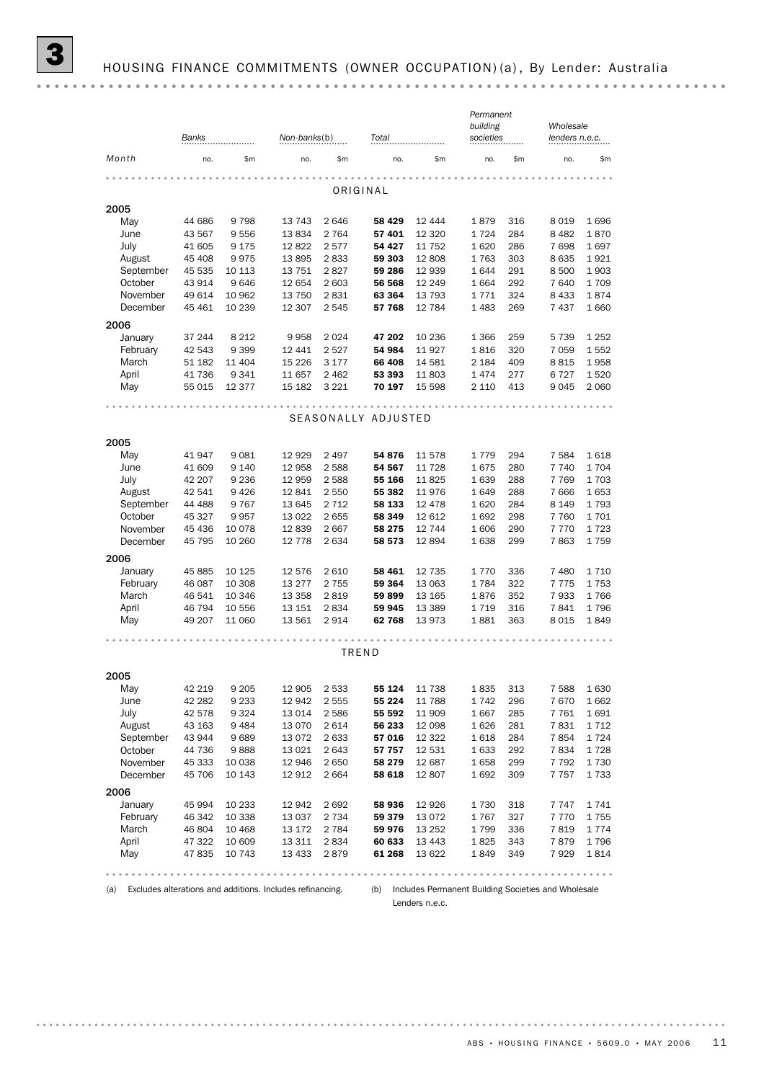|           | Banks            |                  | Non-banks(b)<br>Total |                 |                     | Permanent<br>building<br>societies |                 | Wholesale<br>lenders n.e.c. |                    |               |
|-----------|------------------|------------------|-----------------------|-----------------|---------------------|------------------------------------|-----------------|-----------------------------|--------------------|---------------|
| Month     | no.              | \$m              | no.                   | \$m\$           | no.                 | \$m                                | no.             | \$m                         | no.                | \$m\$         |
|           |                  |                  |                       |                 |                     |                                    |                 |                             |                    |               |
|           |                  |                  |                       |                 | ORIGINAL            |                                    |                 |                             |                    |               |
| 2005      |                  |                  |                       |                 |                     |                                    |                 |                             |                    |               |
| May       | 44 686           | 9798             | 13 743                | 2 6 4 6         | 58 429              | 12 444                             | 1879            | 316                         | 8 0 1 9            | 1696          |
| June      | 43 567           | 9556             | 13834                 | 2 7 6 4         | 57 401              | 12 3 20                            | 1724            | 284                         | 8 4 8 2            | 1870          |
| July      | 41 605           | 9 1 7 5          | 12822                 | 2577            | 54 427              | 11 752                             | 1620            | 286                         | 7698               | 1697          |
| August    | 45 408           | 9975             | 13895                 | 2833            | 59 303              | 12808                              | 1763            | 303                         | 8 6 3 5            | 1921          |
| September | 45 535           | 10 113           | 13 751                | 2827            | 59 286              | 12 939                             | 1644            | 291                         | 8 500              | 1903          |
| October   | 43 914           | 9646             | 12 654                | 2 603           | 56 568              | 12 249                             | 1 6 6 4         | 292                         | 7 640              | 1709          |
| November  | 49 614<br>45 461 | 10 962<br>10 239 | 13 750<br>12 307      | 2831<br>2 5 4 5 | 63 364<br>57 768    | 13 793<br>12 784                   | 1771<br>1 4 8 3 | 324<br>269                  | 8 4 3 3<br>7 4 3 7 | 1874<br>1 660 |
| December  |                  |                  |                       |                 |                     |                                    |                 |                             |                    |               |
| 2006      |                  |                  |                       |                 |                     |                                    |                 |                             |                    |               |
| January   | 37 244           | 8 2 1 2          | 9958                  | 2 0 2 4         | 47 202              | 10 236                             | 1 3 6 6         | 259                         | 5 7 3 9            | 1 2 5 2       |
| February  | 42 543           | 9 3 9 9          | 12 441                | 2 5 2 7         | 54 984              | 11927                              | 1816            | 320                         | 7 0 5 9            | 1552          |
| March     | 51 182           | 11 404           | 15 2 26               | 3 1 7 7         | 66 408              | 14 581                             | 2 1 8 4         | 409                         | 8815               | 1958          |
| April     | 41 736           | 9341             | 11 657                | 2 4 6 2         | 53 393              | 11803                              | 1474            | 277                         | 6 7 2 7            | 1520          |
| May       | 55 015           | 12 377           | 15 182                | 3 2 2 1         | 70 197              | 15 598                             | 2 1 1 0         | 413                         | 9 0 4 5            | 2 0 6 0       |
|           |                  |                  |                       |                 |                     |                                    |                 |                             |                    |               |
|           |                  |                  |                       |                 | SEASONALLY ADJUSTED |                                    |                 |                             |                    |               |
| 2005      |                  |                  |                       |                 |                     |                                    |                 |                             |                    |               |
| May       | 41 947           | 9081             | 12 9 29               | 2 4 9 7         | 54 876              | 11 578                             | 1779            | 294                         | 7 5 8 4            | 1618          |
| June      | 41 609           | 9 1 4 0          | 12 958                | 2 5 8 8         | 54 567              | 11 728                             | 1675            | 280                         | 7 740              | 1704          |
| July      | 42 207           | 9 2 3 6          | 12 959                | 2 5 8 8         | 55 166              | 11825                              | 1639            | 288                         | 7 7 6 9            | 1703          |
| August    | 42 541           | 9426             | 12 841                | 2 5 5 0         | 55 382              | 11976                              | 1649            | 288                         | 7 6 6 6            | 1653          |
| September | 44 488           | 9 7 6 7          | 13 645                | 2 7 1 2         | 58 133              | 12 478                             | 1620            | 284                         | 8 1 4 9            | 1793          |
| October   | 45 327           | 9957             | 13 0 22               | 2655            | 58 349              | 12 612                             | 1692            | 298                         | 7 7 6 0            | 1701          |
| November  | 45 436           | 10 0 78          | 12839                 | 2667            | 58 275              | 12 744                             | 1606            | 290                         | 7 7 7 0            | 1723          |
| December  | 45 795           | 10 260           | 12 778                | 2 6 3 4         | 58 573              | 12894                              | 1638            | 299                         | 7863               | 1759          |
| 2006      |                  |                  |                       |                 |                     |                                    |                 |                             |                    |               |
| January   | 45 885           | 10 1 25          | 12 576                | 2 6 1 0         | 58 461              | 12 735                             | 1770            | 336                         | 7 4 8 0            | 1710          |
| February  | 46 087           | 10 308           | 13 277                | 2 7 5 5         | 59 364              | 13 063                             | 1784            | 322                         | 7775               | 1753          |
| March     | 46 541           | 10 346           | 13 3 5 8              | 2819            | 59899               | 13 165                             | 1876            | 352                         | 7933               | 1766          |
| April     | 46 794           | 10 556           | 13 151                | 2834            | 59 945              | 13 389                             | 1719            | 316                         | 7841               | 1796          |
| May       | 49 207           | 11 060           | 13 561                | 2914            | 62768               | 13973                              | 1881            | 363                         | 8 0 1 5            | 1849          |
|           |                  |                  |                       |                 |                     |                                    |                 |                             |                    |               |
|           |                  |                  |                       |                 | TREND               |                                    |                 |                             |                    |               |
| 2005      |                  |                  |                       |                 |                     |                                    |                 |                             |                    |               |
| May       | 42 219           | 9 2 0 5          | 12 905                | 2 5 3 3         | 55 124              | 11 738                             | 1835            | 313                         | 7 5 8 8            | 1630          |
| June      | 42 282           | 9 2 3 3          | 12 942                | 2 5 5 5         | 55 224              | 11788                              | 1742            | 296                         | 7670               | 1662          |
| July      | 42 578           | 9 3 2 4          | 13 014                | 2586            | 55 592              | 11 909                             | 1667            | 285                         | 7 7 6 1            | 1691          |
| August    | 43 163           | 9 4 8 4          | 13 0 70               | 2 6 1 4         | 56 233              | 12 098                             | 1626            | 281                         | 7831               | 1712          |
| September | 43 944           | 9689             | 13 0 72               | 2 633           | 57016               | 12 3 22                            | 1618            | 284                         | 7854               | 1724          |
| October   | 44 736           | 9888             | 13 0 21               | 2 6 4 3         | 57 757              | 12 531                             | 1633            | 292                         | 7834               | 1728          |
| November  | 45 333           | 10 038           | 12 946                | 2 6 5 0         | 58 279              | 12 687                             | 1658            | 299                         | 7 7 9 2            | 1730          |
| December  | 45 706           | 10 143           | 12 912                | 2 6 6 4         | 58 618              | 12807                              | 1692            | 309                         | 7757               | 1733          |
| 2006      |                  |                  |                       |                 |                     |                                    |                 |                             |                    |               |
| January   | 45 994           | 10 233           | 12 942                | 2692            | 58 936              | 12 9 26                            | 1730            | 318                         | 7 7 4 7            | 1741          |
| February  | 46 342           | 10 338           | 13 0 37               | 2 7 3 4         | 59 379              | 13 0 72                            | 1767            | 327                         | 7770               | 1755          |
| March     | 46 804           | 10 4 68          | 13 172                | 2 7 8 4         | 59 976              | 13 25 2                            | 1799            | 336                         | 7819               | 1774          |
| April     | 47 322           | 10 609           | 13 311                | 2834            | 60 633              | 13 4 43                            | 1825            | 343                         | 7879               | 1796          |
| May       | 47 835           | 10 743           | 13 4 33               | 2879            | 61 268              | 13 622                             | 1849            | 349                         | 7929               | 1814          |
|           |                  |                  |                       |                 |                     |                                    |                 |                             |                    |               |

(a) Excludes alterations and additions. Includes refinancing.

(b) Includes Permanent Building Societies and Wholesale

Lenders n.e.c.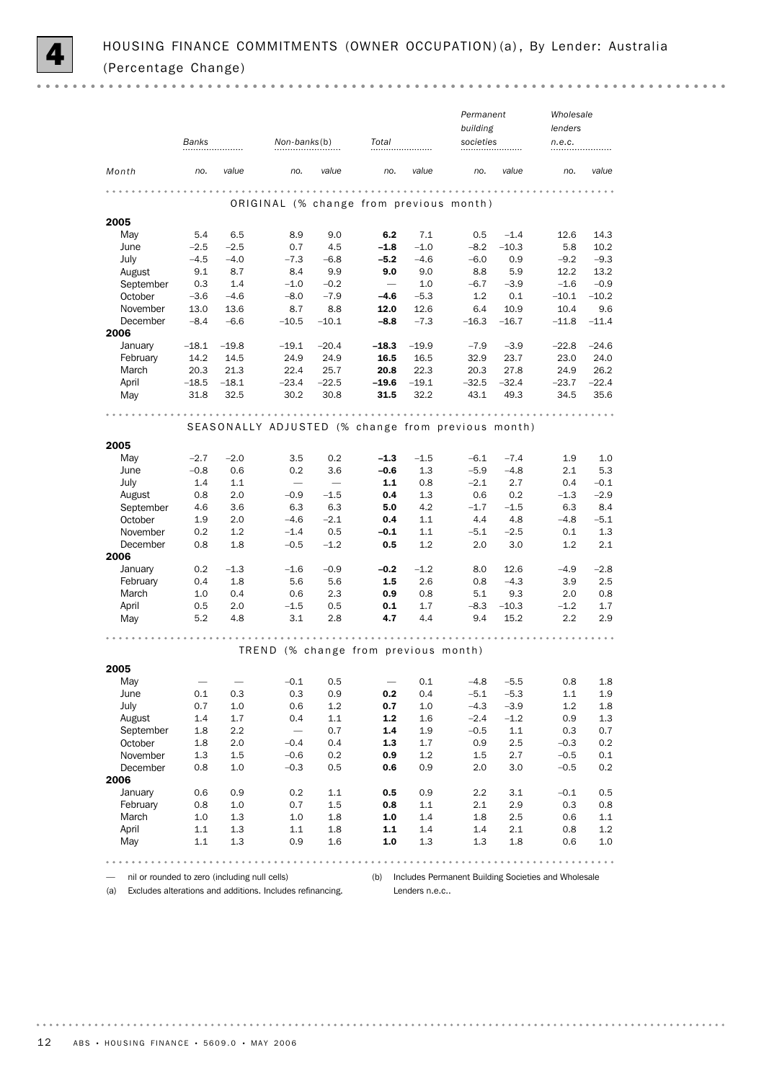

 $\sim$   $\sim$ 

|                      |         |         |                                                    |         |                      |         | Permanent |         | Wholesale       |         |
|----------------------|---------|---------|----------------------------------------------------|---------|----------------------|---------|-----------|---------|-----------------|---------|
|                      |         |         |                                                    |         |                      |         | building  |         | lenders         |         |
|                      | Banks   |         | Non-banks(b)                                       |         | Total                |         | societies |         | n.e.c.          |         |
|                      |         |         |                                                    |         |                      |         |           |         |                 |         |
| Month                | no.     | value   | no.                                                | value   | no.                  | value   | no.       | value   | no.             | value   |
|                      |         |         |                                                    |         |                      |         |           |         |                 |         |
|                      |         |         | ORIGINAL (% change from previous month)            |         |                      |         |           |         |                 |         |
| 2005                 |         |         |                                                    |         |                      |         |           |         |                 |         |
| May                  | 5.4     | 6.5     | 8.9                                                | 9.0     | 6.2                  | 7.1     | 0.5       | $-1.4$  | 12.6            | 14.3    |
| June                 | $-2.5$  | $-2.5$  | 0.7                                                | 4.5     | $-1.8$               | $-1.0$  | $-8.2$    | $-10.3$ | 5.8             | 10.2    |
| July                 | $-4.5$  | $-4.0$  | $-7.3$                                             | $-6.8$  | $-5.2$               | $-4.6$  | $-6.0$    | 0.9     | $-9.2$          | $-9.3$  |
| August               | 9.1     | 8.7     | 8.4                                                | 9.9     | 9.0                  | 9.0     | 8.8       | 5.9     | 12.2            | 13.2    |
| September            | 0.3     | 1.4     | $-1.0$                                             | $-0.2$  |                      | 1.0     | $-6.7$    | $-3.9$  | $-1.6$          | $-0.9$  |
| October              | $-3.6$  | $-4.6$  | $-8.0$                                             | $-7.9$  | $-4.6$               | $-5.3$  | 1.2       | 0.1     | $-10.1$<br>10.4 | $-10.2$ |
| November<br>December | 13.0    | 13.6    | 8.7                                                | 8.8     | 12.0                 | 12.6    | 6.4       | 10.9    |                 | 9.6     |
| 2006                 | $-8.4$  | $-6.6$  | $-10.5$                                            | $-10.1$ | $-8.8$               | $-7.3$  | $-16.3$   | $-16.7$ | $-11.8$         | $-11.4$ |
| January              | $-18.1$ | $-19.8$ | $-19.1$                                            | $-20.4$ | -18.3                | $-19.9$ | $-7.9$    | $-3.9$  | $-22.8$         | $-24.6$ |
| February             | 14.2    | 14.5    | 24.9                                               | 24.9    | 16.5                 | 16.5    | 32.9      | 23.7    | 23.0            | 24.0    |
| March                | 20.3    | 21.3    | 22.4                                               | 25.7    | 20.8                 | 22.3    | 20.3      | 27.8    | 24.9            | 26.2    |
| April                | $-18.5$ | $-18.1$ | $-23.4$                                            | $-22.5$ | $-19.6$              | $-19.1$ | $-32.5$   | $-32.4$ | $-23.7$         | $-22.4$ |
| May                  | 31.8    | 32.5    | 30.2                                               | 30.8    | 31.5                 | 32.2    | 43.1      | 49.3    | 34.5            | 35.6    |
|                      |         |         |                                                    |         | $- - - -$<br>$- 0.4$ |         |           |         |                 |         |
|                      |         |         | SEASONALLY ADJUSTED (% change from previous month) |         |                      |         |           |         |                 |         |
| 2005                 |         |         |                                                    |         |                      |         |           |         |                 |         |
| May                  | $-2.7$  | $-2.0$  | 3.5                                                | 0.2     | $-1.3$               | $-1.5$  | $-6.1$    | $-7.4$  | 1.9             | 1.0     |
| June                 | $-0.8$  | 0.6     | 0.2                                                | 3.6     | $-0.6$               | 1.3     | $-5.9$    | $-4.8$  | 2.1             | 5.3     |
| July                 | 1.4     | 1.1     | $\overbrace{\qquad \qquad }$                       |         | 1.1                  | 0.8     | $-2.1$    | 2.7     | 0.4             | $-0.1$  |
| August               | 0.8     | 2.0     | $-0.9$                                             | $-1.5$  | 0.4                  | 1.3     | 0.6       | 0.2     | $-1.3$          | $-2.9$  |
| September            | 4.6     | 3.6     | 6.3                                                | 6.3     | 5.0                  | 4.2     | $-1.7$    | $-1.5$  | 6.3             | 8.4     |
| October              | 1.9     | 2.0     | $-4.6$                                             | $-2.1$  | 0.4                  | 1.1     | 4.4       | 4.8     | $-4.8$          | $-5.1$  |
| November             | 0.2     | 1.2     | $-1.4$                                             | 0.5     | $-0.1$               | 1.1     | $-5.1$    | $-2.5$  | 0.1             | 1.3     |
| December<br>2006     | 0.8     | 1.8     | $-0.5$                                             | $-1.2$  | 0.5                  | 1.2     | 2.0       | 3.0     | 1.2             | 2.1     |
| January              | 0.2     | $-1.3$  | $-1.6$                                             | $-0.9$  | $-0.2$               | $-1.2$  | 8.0       | 12.6    | $-4.9$          | $-2.8$  |
| February             | 0.4     | 1.8     | 5.6                                                | 5.6     | 1.5                  | 2.6     | 0.8       | $-4.3$  | 3.9             | 2.5     |
| March                | 1.0     | 0.4     | 0.6                                                | 2.3     | 0.9                  | 0.8     | 5.1       | 9.3     | 2.0             | 0.8     |
| April                | 0.5     | 2.0     | $-1.5$                                             | 0.5     | 0.1                  | 1.7     | $-8.3$    | $-10.3$ | $-1.2$          | 1.7     |
| May                  | 5.2     | 4.8     | 3.1                                                | 2.8     | 4.7                  | 4.4     | 9.4       | 15.2    | 2.2             | 2.9     |
|                      |         |         |                                                    |         |                      |         |           |         |                 |         |
|                      |         |         | TREND (% change from previous month)               |         |                      |         |           |         |                 |         |
| 2005                 |         |         |                                                    |         |                      |         |           |         |                 |         |
| May                  |         |         | $-0.1$                                             | 0.5     |                      | 0.1     | $-4.8$    | $-5.5$  | 0.8             | 1.8     |
| June                 | 0.1     | 0.3     | 0.3                                                | 0.9     | 0.2                  | 0.4     | $-5.1$    | $-5.3$  | $1.1\,$         | 1.9     |
| July                 | 0.7     | 1.0     | 0.6                                                | 1.2     | 0.7                  | 1.0     | $-4.3$    | $-3.9$  | 1.2             | $1.8\,$ |
| August               | 1.4     | 1.7     | 0.4                                                | 1.1     | $\mathbf{1.2}$       | 1.6     | $-2.4$    | $-1.2$  | 0.9             | 1.3     |
| September            | 1.8     | 2.2     |                                                    | 0.7     | 1.4                  | 1.9     | $-0.5$    | 1.1     | 0.3             | 0.7     |
| October              | 1.8     | 2.0     | $-0.4$                                             | 0.4     | 1.3                  | 1.7     | 0.9       | 2.5     | $-0.3$          | 0.2     |
| November             | 1.3     | 1.5     | $-0.6$                                             | 0.2     | 0.9                  | 1.2     | 1.5       | 2.7     | $-0.5$          | 0.1     |
| December<br>2006     | 0.8     | 1.0     | $-0.3$                                             | 0.5     | 0.6                  | 0.9     | 2.0       | 3.0     | $-0.5$          | 0.2     |
| January              | 0.6     | 0.9     | 0.2                                                | 1.1     | 0.5                  | 0.9     | 2.2       | 3.1     | $-0.1$          | 0.5     |
| February             | 0.8     | 1.0     | 0.7                                                | 1.5     | 0.8                  | 1.1     | 2.1       | 2.9     | 0.3             | 0.8     |
| March                | 1.0     | 1.3     | 1.0                                                | 1.8     | 1.0                  | 1.4     | 1.8       | 2.5     | 0.6             | $1.1\,$ |
| April                | 1.1     | 1.3     | $1.1\,$                                            | 1.8     | 1.1                  | 1.4     | 1.4       | 2.1     | 0.8             | $1.2\,$ |
| May                  | 1.1     | $1.3\,$ | 0.9                                                | 1.6     | 1.0                  | 1.3     | 1.3       | 1.8     | 0.6             | 1.0     |
|                      |         |         |                                                    |         |                      |         |           |         |                 |         |
|                      |         |         |                                                    |         |                      |         |           |         |                 |         |

— nil or rounded to zero (including null cells)

(b) Includes Permanent Building Societies and Wholesale Lenders n.e.c..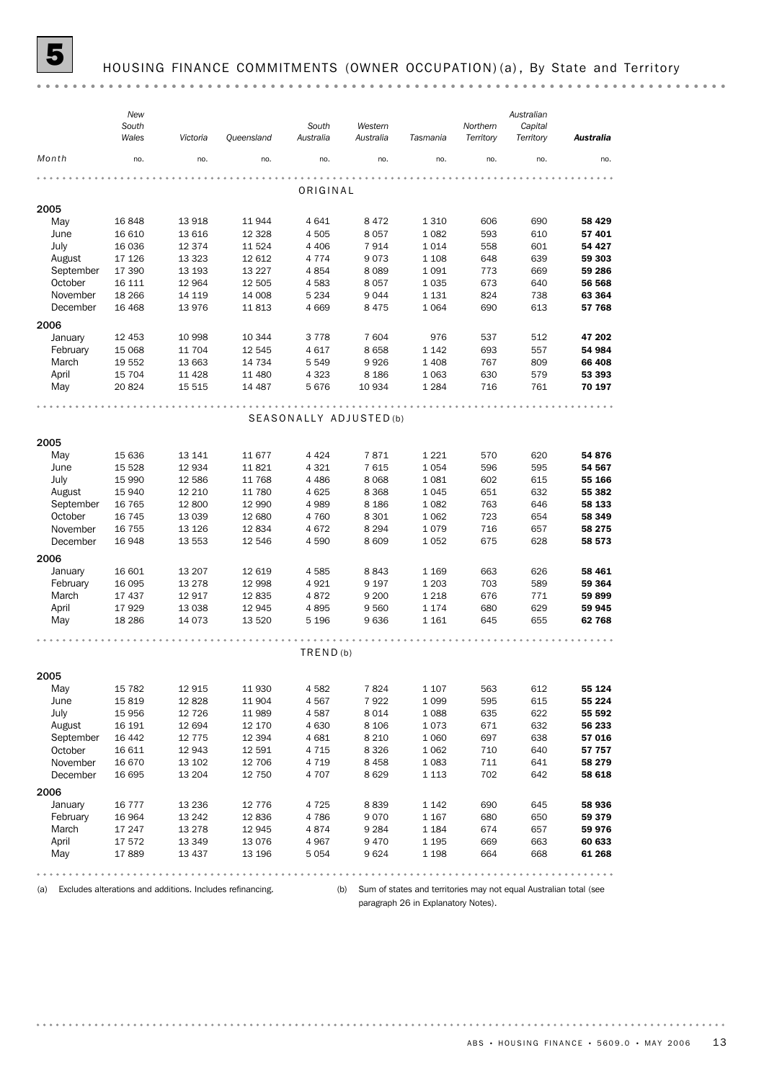

## HOUSING FINANCE COMMITMENTS (OWNER OCCUPATION) (a), By State and Territory

|           | New<br>South<br>Wales | Victoria          | Queensland        | South<br>Australia      | Western<br>Australia | Tasmania           | Northern<br>Territory | Australian<br>Capital<br>Territory | <b>Australia</b> |
|-----------|-----------------------|-------------------|-------------------|-------------------------|----------------------|--------------------|-----------------------|------------------------------------|------------------|
| Month     | no.                   | no.               | no.               | no.                     | no.                  | no.                | no.                   | no.                                | no.              |
|           |                       |                   |                   |                         |                      |                    |                       |                                    |                  |
|           |                       |                   |                   | ORIGINAL                |                      |                    |                       |                                    |                  |
| 2005      |                       |                   |                   |                         |                      |                    |                       |                                    |                  |
| May       | 16848                 | 13 918            | 11944             | 4641                    | 8472                 | 1 3 1 0            | 606                   | 690                                | 58 4 29          |
| June      | 16 610<br>16 036      | 13 616<br>12 374  | 12 3 28<br>11 524 | 4 5 0 5<br>4 4 0 6      | 8057                 | 1 0 8 2<br>1014    | 593<br>558            | 610                                | 57 401<br>54 427 |
| July      |                       |                   |                   |                         | 7914<br>9073         |                    |                       | 601                                |                  |
| August    | 17 126<br>17 390      | 13 3 23<br>13 193 | 12 612            | 4 7 7 4<br>4854         |                      | 1 1 0 8<br>1 0 9 1 | 648                   | 639<br>669                         | 59 303<br>59 286 |
| September |                       |                   | 13 2 27           |                         | 8089                 |                    | 773                   |                                    |                  |
| October   | 16 111                | 12 964            | 12 505            | 4583                    | 8057                 | 1 0 3 5            | 673                   | 640                                | 56 568           |
| November  | 18 26 6<br>16 4 68    | 14 119<br>13 976  | 14 008<br>11813   | 5 2 3 4<br>4 6 6 9      | 9044<br>8 4 7 5      | 1 1 3 1<br>1 0 6 4 | 824<br>690            | 738<br>613                         | 63 364<br>57 768 |
| December  |                       |                   |                   |                         |                      |                    |                       |                                    |                  |
| 2006      |                       |                   |                   |                         |                      |                    |                       |                                    |                  |
| January   | 12 453                | 10 998            | 10 344            | 3778                    | 7604                 | 976                | 537                   | 512                                | 47 202           |
| February  | 15 0 68               | 11 704            | 12 545            | 4617                    | 8658                 | 1 1 4 2            | 693                   | 557                                | 54 984           |
| March     | 19 552                | 13 663            | 14 734            | 5 5 4 9                 | 9926                 | 1 4 0 8            | 767                   | 809                                | 66 408           |
| April     | 15 704                | 11 4 28           | 11 480            | 4 3 2 3                 | 8 1 8 6              | 1 0 6 3            | 630                   | 579                                | 53 393           |
| May       | 20824                 | 15 515            | 14 487            | 5676                    | 10 934               | 1 2 8 4            | 716                   | 761                                | 70 197           |
|           |                       |                   |                   |                         |                      |                    |                       |                                    |                  |
|           |                       |                   |                   | SEASONALLY ADJUSTED (b) |                      |                    |                       |                                    |                  |
| 2005      |                       |                   |                   |                         |                      |                    |                       |                                    |                  |
| May       | 15 636                | 13 141            | 11 677            | 4 4 2 4                 | 7871                 | 1 2 2 1            | 570                   | 620                                | 54 876           |
| June      | 15 5 28               | 12 934            | 11821             | 4 3 2 1                 | 7615                 | 1 0 5 4            | 596                   | 595                                | 54 567           |
| July      | 15 990                | 12 586            | 11 768            | 4 4 8 6                 | 8 0 6 8              | 1 0 8 1            | 602                   | 615                                | 55 166           |
| August    | 15 940                | 12 210            | 11 780            | 4 6 25                  | 8 3 6 8              | 1 0 4 5            | 651                   | 632                                | 55 382           |
| September | 16 765                | 12 800            | 12 990            | 4 9 8 9                 | 8 1 8 6              | 1 0 8 2            | 763                   | 646                                | 58 133           |
| October   | 16 745                | 13 0 39           | 12 680            | 4760                    | 8 3 0 1              | 1 0 6 2            | 723                   | 654                                | 58 349           |
| November  | 16 755                | 13 1 26           | 12834             | 4672                    | 8 2 9 4              | 1079               | 716                   | 657                                | 58 275           |
| December  | 16948                 | 13 553            | 12 546            | 4 5 9 0                 | 8 6 0 9              | 1 0 5 2            | 675                   | 628                                | 58 573           |
| 2006      |                       |                   |                   |                         |                      |                    |                       |                                    |                  |
| January   | 16 601                | 13 20 7           | 12 619            | 4585                    | 8843                 | 1 1 6 9            | 663                   | 626                                | 58 461           |
| February  | 16 0 95               | 13 278            | 12 998            | 4921                    | 9 1 9 7              | 1 2 0 3            | 703                   | 589                                | 59 364           |
| March     | 17 437                | 12 917            | 12835             | 4872                    | 9 2 0 0              | 1 2 1 8            | 676                   | 771                                | 59899            |
| April     | 17929                 | 13 0 38           | 12 945            | 4895                    | 9560                 | 1 1 7 4            | 680                   | 629                                | 59 945           |
| May       | 18 2 86               | 14 0 73           | 13 5 20           | 5 1 9 6                 | 9636                 | 1 1 6 1            | 645                   | 655                                | 62768            |
|           |                       |                   |                   |                         |                      |                    |                       |                                    |                  |
|           |                       |                   |                   | TRED(b)                 |                      |                    |                       |                                    |                  |
| 2005      |                       |                   |                   |                         |                      |                    |                       |                                    |                  |
| May       | 15 7 82               | 12 915            | 11 930            | 4582                    | 7824                 | 1 1 0 7            | 563                   | 612                                | 55 124           |
| June      | 15819                 | 12 8 28           | 11 904            | 4567                    | 7922                 | 1 0 9 9            | 595                   | 615                                | 55 224           |
| July      | 15 956                | 12 7 26           | 11 989            | 4587                    | 8014                 | 1 0 8 8            | 635                   | 622                                | 55 592           |
| August    | 16 191                | 12 694            | 12 170            | 4 6 3 0                 | 8 1 0 6              | 1073               | 671                   | 632                                | 56 233           |
| September | 16 442                | 12 775            | 12 394            | 4 6 8 1                 | 8 2 1 0              | 1 0 6 0            | 697                   | 638                                | 57 016           |
| October   | 16 611                | 12 943            | 12 591            | 4 7 1 5                 | 8 3 2 6              | 1 0 6 2            | 710                   | 640                                | 57 757           |
| November  | 16 670                | 13 102            | 12 706            | 4 7 1 9                 | 8458                 | 1 0 8 3            | 711                   | 641                                | 58 279           |
| December  | 16 695                | 13 204            | 12 750            | 4 707                   | 8629                 | 1 1 1 3            | 702                   | 642                                | 58 618           |
| 2006      |                       |                   |                   |                         |                      |                    |                       |                                    |                  |
| January   | 16 7 7 7              | 13 2 36           | 12 776            | 4 7 2 5                 | 8839                 | 1 1 4 2            | 690                   | 645                                | 58 936           |
| February  | 16 964                | 13 24 2           | 12836             | 4786                    | 9070                 | 1 1 6 7            | 680                   | 650                                | 59 379           |
| March     |                       |                   |                   | 4874                    | 9 2 8 4              |                    | 674                   | 657                                | 59 976           |
| April     | 17 247                | 13 278            | 12 945<br>13 0 76 |                         |                      | 1 1 8 4            |                       | 663                                |                  |
| May       | 17572<br>17889        | 13 349<br>13 437  | 13 196            | 4967<br>5 0 5 4         | 9470<br>9624         | 1 1 9 5<br>1 1 9 8 | 669<br>664            | 668                                | 60 633<br>61 268 |
|           |                       |                   |                   |                         |                      |                    |                       |                                    |                  |
|           |                       |                   |                   |                         |                      |                    |                       |                                    |                  |

(a) Excludes alterations and additions. Includes refinancing.

(b) Sum of states and territories may not equal Australian total (see paragraph 26 in Explanatory Notes).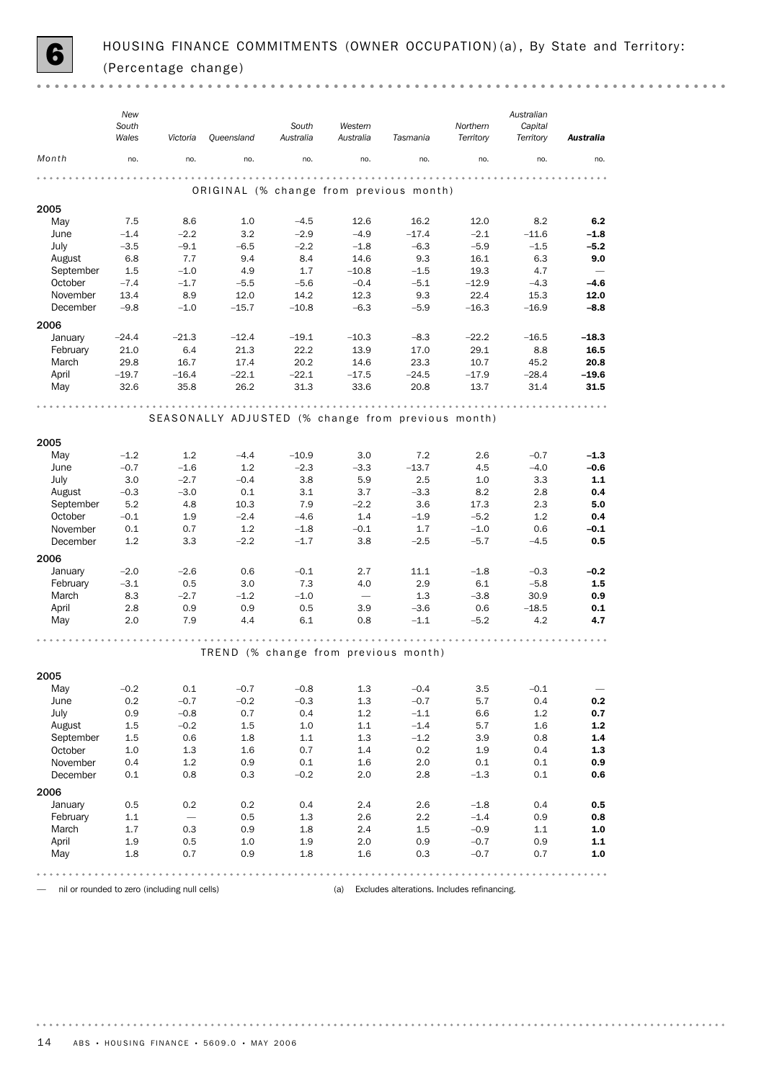

 $- - - - -$ 

|             | New<br>South<br>Wales | Victoria                 | Queensland                                         | South<br>Australia | Western<br>Australia     | Tasmania        | Northern<br>Territory | Australian<br>Capital<br>Territory | <b>Australia</b>         |
|-------------|-----------------------|--------------------------|----------------------------------------------------|--------------------|--------------------------|-----------------|-----------------------|------------------------------------|--------------------------|
| Month       | no.                   | no.                      | no.                                                | no.                | no.                      | no.             | no.                   | no.                                | no.                      |
|             |                       |                          |                                                    |                    |                          |                 |                       |                                    |                          |
|             |                       |                          | ORIGINAL (% change from previous month)            |                    |                          |                 |                       |                                    |                          |
| 2005        |                       |                          |                                                    |                    |                          |                 |                       |                                    |                          |
| May<br>June | 7.5<br>$-1.4$         | 8.6<br>$-2.2$            | 1.0<br>3.2                                         | $-4.5$<br>$-2.9$   | 12.6<br>$-4.9$           | 16.2<br>$-17.4$ | 12.0<br>$-2.1$        | 8.2<br>$-11.6$                     | 6.2<br>$-1.8$            |
| July        | $-3.5$                | $-9.1$                   | $-6.5$                                             | $-2.2$             | $-1.8$                   | $-6.3$          | $-5.9$                | $-1.5$                             | $-5.2$                   |
| August      | 6.8                   | 7.7                      | 9.4                                                | 8.4                | 14.6                     | 9.3             | 16.1                  | 6.3                                | 9.0                      |
| September   | 1.5                   | $-1.0$                   | 4.9                                                | 1.7                | $-10.8$                  | $-1.5$          | 19.3                  | 4.7                                | $\overline{\phantom{m}}$ |
| October     | $-7.4$                | $-1.7$                   | $-5.5$                                             | $-5.6$             | $-0.4$                   | $-5.1$          | $-12.9$               | $-4.3$                             | $-4.6$                   |
| November    | 13.4                  | 8.9                      | 12.0                                               | 14.2               | 12.3                     | 9.3             | 22.4                  | 15.3                               | 12.0                     |
| December    | $-9.8$                | $-1.0$                   | $-15.7$                                            | $-10.8$            | $-6.3$                   | $-5.9$          | $-16.3$               | $-16.9$                            | $-8.8$                   |
| 2006        |                       |                          |                                                    |                    |                          |                 |                       |                                    |                          |
| January     | $-24.4$               | $-21.3$                  | $-12.4$                                            | $-19.1$            | $-10.3$                  | $-8.3$          | $-22.2$               | $-16.5$                            | $-18.3$                  |
| February    | 21.0                  | 6.4                      | 21.3                                               | 22.2               | 13.9                     | 17.0            | 29.1                  | 8.8                                | 16.5                     |
| March       | 29.8                  | 16.7                     | 17.4                                               | 20.2               | 14.6                     | 23.3            | 10.7                  | 45.2                               | 20.8                     |
| April       | $-19.7$               | $-16.4$                  | $-22.1$                                            | $-22.1$            | $-17.5$                  | $-24.5$         | $-17.9$               | $-28.4$                            | $-19.6$                  |
| May         | 32.6                  | 35.8                     | 26.2                                               | 31.3               | 33.6                     | 20.8            | 13.7                  | 31.4                               | 31.5                     |
|             |                       |                          |                                                    |                    |                          |                 |                       |                                    |                          |
|             |                       |                          | SEASONALLY ADJUSTED (% change from previous month) |                    |                          |                 |                       |                                    |                          |
| 2005        |                       |                          |                                                    |                    |                          |                 |                       |                                    |                          |
| May         | $-1.2$                | 1.2                      | $-4.4$                                             | $-10.9$            | 3.0                      | 7.2             | 2.6                   | $-0.7$                             | $-1.3$                   |
| June        | $-0.7$                | $-1.6$                   | 1.2                                                | $-2.3$             | $-3.3$                   | $-13.7$         | 4.5                   | $-4.0$                             | $-0.6$                   |
| July        | 3.0                   | $-2.7$                   | $-0.4$                                             | 3.8                | 5.9                      | 2.5             | 1.0                   | 3.3                                | $1.1$                    |
| August      | $-0.3$                | $-3.0$                   | 0.1                                                | 3.1                | 3.7                      | $-3.3$          | 8.2                   | 2.8                                | 0.4                      |
| September   | 5.2                   | 4.8                      | 10.3                                               | 7.9                | $-2.2$                   | 3.6             | 17.3                  | 2.3                                | 5.0                      |
| October     | $-0.1$                | 1.9                      | $-2.4$                                             | $-4.6$             | 1.4                      | $-1.9$          | $-5.2$                | 1.2                                | 0.4                      |
| November    | 0.1                   | 0.7                      | 1.2                                                | $-1.8$             | $-0.1$                   | 1.7             | $-1.0$                | 0.6                                | $-0.1$                   |
| December    | 1.2                   | 3.3                      | $-2.2$                                             | $-1.7$             | 3.8                      | $-2.5$          | $-5.7$                | $-4.5$                             | 0.5                      |
| 2006        |                       |                          |                                                    |                    |                          |                 |                       |                                    |                          |
| January     | $-2.0$                | $-2.6$                   | 0.6                                                | $-0.1$             | 2.7                      | 11.1            | $-1.8$                | $-0.3$                             | $-0.2$                   |
| February    | $-3.1$                | 0.5                      | 3.0                                                | 7.3                | 4.0                      | 2.9             | 6.1                   | $-5.8$                             | 1.5                      |
| March       | 8.3                   | $-2.7$                   | $-1.2$                                             | $-1.0$             | $\overline{\phantom{0}}$ | 1.3             | $-3.8$                | 30.9                               | 0.9                      |
| April       | 2.8                   | 0.9                      | 0.9                                                | 0.5                | 3.9                      | $-3.6$          | 0.6                   | $-18.5$                            | 0.1                      |
| May         | 2.0                   | 7.9                      | 4.4                                                | 6.1                | 0.8                      | $-1.1$          | $-5.2$                | 4.2                                | 4.7                      |
|             |                       |                          |                                                    |                    |                          |                 |                       |                                    |                          |
|             |                       |                          | TREND (% change from previous month)               |                    |                          |                 |                       |                                    |                          |
| 2005        |                       |                          |                                                    |                    |                          |                 |                       |                                    |                          |
| May         | $-0.2$                | 0.1                      | $-0.7$                                             | $-0.8$             | 1.3                      | $-0.4$          | 3.5                   | $-0.1$                             |                          |
| June        | 0.2                   | $-0.7$                   | $-0.2$                                             | $-0.3$             | 1.3                      | $-0.7$          | 5.7                   | 0.4                                | 0.2                      |
| July        | 0.9                   | $-0.8$                   | 0.7                                                | 0.4                | 1.2                      | $-1.1$          | 6.6                   | 1.2                                | 0.7                      |
| August      | 1.5                   | $-0.2$                   | 1.5                                                | 1.0                | 1.1                      | $-1.4$          | 5.7                   | 1.6                                | $1.2\,$                  |
| September   | 1.5                   | 0.6                      | 1.8                                                | 1.1                | 1.3                      | $-1.2$          | 3.9                   | 0.8                                | 1.4                      |
| October     | 1.0                   | 1.3                      | 1.6                                                | 0.7                | 1.4                      | 0.2             | 1.9                   | 0.4                                | 1.3                      |
| November    | 0.4                   | 1.2                      | 0.9                                                | 0.1                | $1.6\,$                  | 2.0             | $0.1\,$               | 0.1                                | 0.9                      |
| December    | $0.1\,$               | 0.8                      | 0.3                                                | $-0.2$             | 2.0                      | 2.8             | $-1.3$                | 0.1                                | 0.6                      |
| 2006        |                       |                          |                                                    |                    |                          |                 |                       |                                    |                          |
| January     | 0.5                   | 0.2                      | 0.2                                                | 0.4                | 2.4                      | 2.6             | $-1.8$                | 0.4                                | 0.5                      |
| February    | 1.1                   | $\overline{\phantom{m}}$ | 0.5                                                | 1.3                | 2.6                      | 2.2             | $-1.4$                | 0.9                                | 0.8                      |
| March       | 1.7                   | 0.3                      | 0.9                                                | 1.8                | 2.4                      | 1.5             | $-0.9$                | 1.1                                | 1.0                      |
| April       | 1.9<br>1.8            | 0.5<br>0.7               | 1.0<br>0.9                                         | 1.9<br>1.8         | 2.0<br>1.6               | 0.9<br>0.3      | $-0.7$<br>$-0.7$      | 0.9<br>0.7                         | $1.1$<br>$1.0\,$         |
| May         |                       |                          |                                                    |                    |                          |                 |                       |                                    |                          |
|             |                       |                          |                                                    |                    |                          |                 |                       |                                    |                          |

— nil or rounded to zero (including null cells) (a) Excludes alterations. Includes refinancing.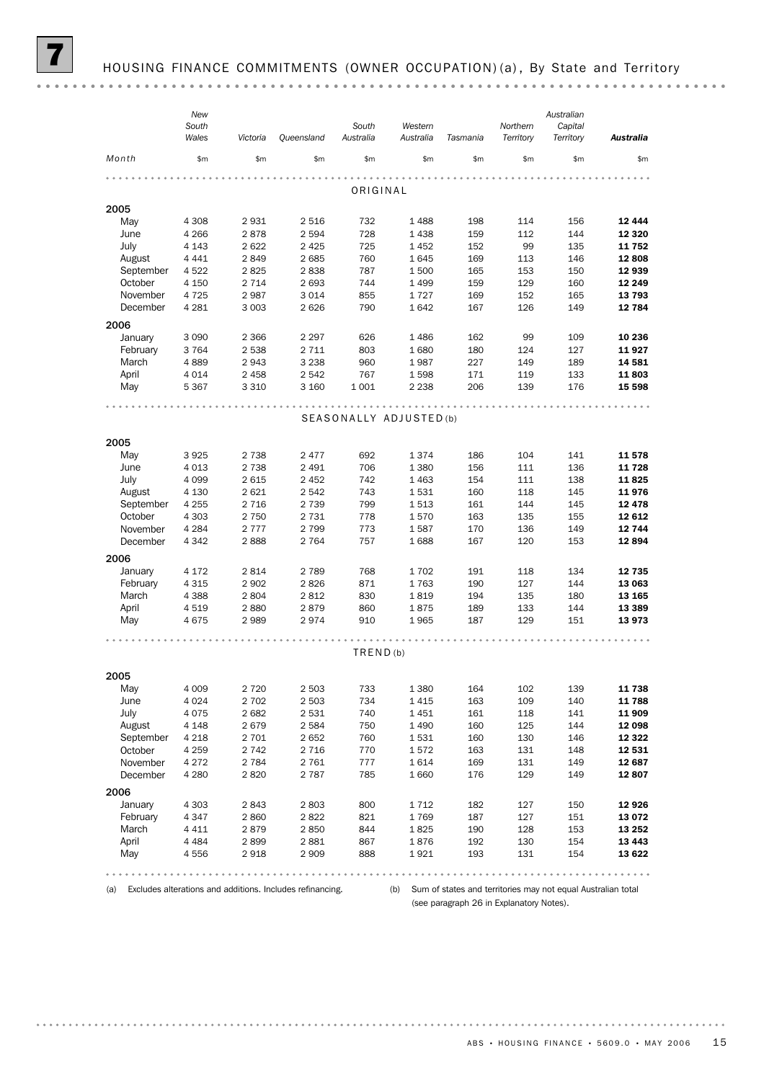(a) Excludes alterations and additions. Includes refinancing.

(b) Sum of states and territories may not equal Australian total (see paragraph 26 in Explanatory Notes).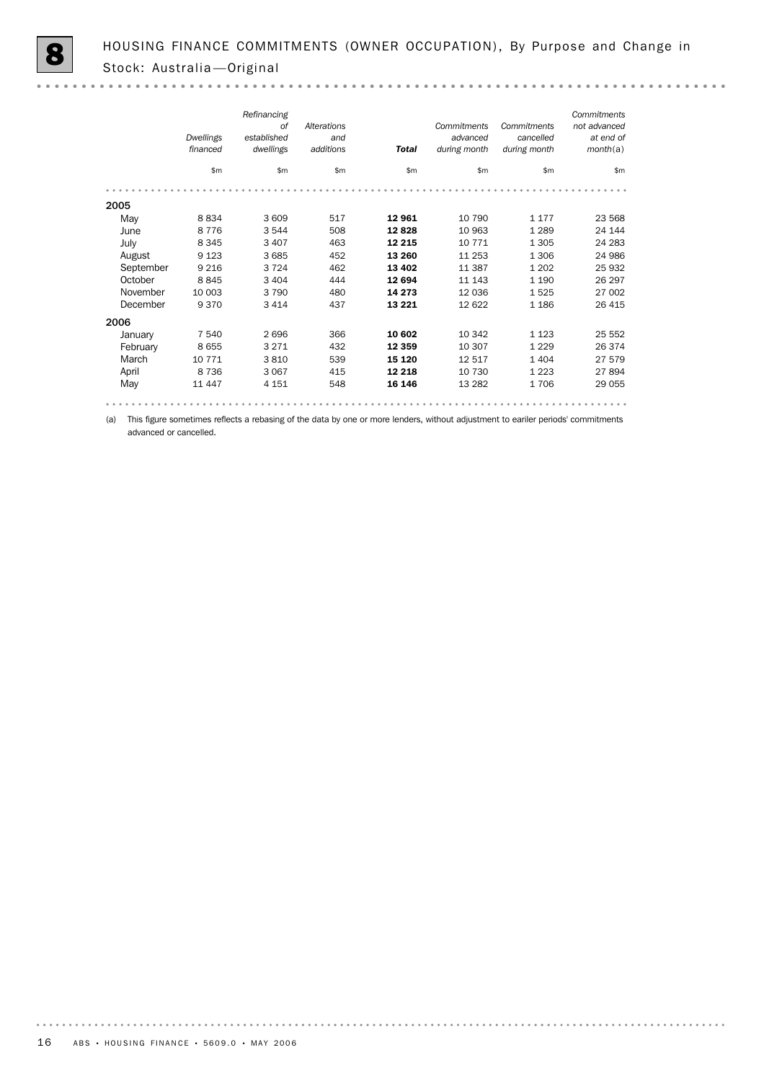$0.0000$ 

|           | Dwellings<br>financed | Refinancing<br>of<br>established<br>dwellings | Alterations<br>and<br>additions | <b>Total</b> | Commitments<br>advanced<br>during month | Commitments<br>cancelled<br>during month | Commitments<br>not advanced<br>at end of<br>month(a) |
|-----------|-----------------------|-----------------------------------------------|---------------------------------|--------------|-----------------------------------------|------------------------------------------|------------------------------------------------------|
|           | \$m                   | \$m\$                                         | \$m                             | \$m\$        | \$m                                     | \$m                                      | \$m                                                  |
|           |                       |                                               |                                 |              |                                         |                                          |                                                      |
| 2005      |                       |                                               |                                 |              |                                         |                                          |                                                      |
| May       | 8834                  | 3 609                                         | 517                             | 12961        | 10 790                                  | 1 1 7 7                                  | 23 5 68                                              |
| June      | 8 7 7 6               | 3 5 4 4                                       | 508                             | 12828        | 10 963                                  | 1 2 8 9                                  | 24 144                                               |
| July      | 8 3 4 5               | 3 4 0 7                                       | 463                             | 12 2 15      | 10 771                                  | 1 3 0 5                                  | 24 283                                               |
| August    | 9 1 2 3               | 3 6 8 5                                       | 452                             | 13 260       | 11 253                                  | 1 3 0 6                                  | 24 986                                               |
| September | 9 2 1 6               | 3 7 2 4                                       | 462                             | 13 4 0 2     | 11 387                                  | 1 2 0 2                                  | 25 932                                               |
| October   | 8845                  | 3 4 0 4                                       | 444                             | 12 694       | 11 143                                  | 1 1 9 0                                  | 26 297                                               |
| November  | 10 003                | 3 7 9 0                                       | 480                             | 14 2 7 3     | 12 0 36                                 | 1525                                     | 27 002                                               |
| December  | 9370                  | 3 4 1 4                                       | 437                             | 13 2 2 1     | 12 622                                  | 1 1 8 6                                  | 26 4 15                                              |
| 2006      |                       |                                               |                                 |              |                                         |                                          |                                                      |
| January   | 7 540                 | 2696                                          | 366                             | 10 602       | 10 342                                  | 1 1 2 3                                  | 25 552                                               |
| February  | 8655                  | 3 2 7 1                                       | 432                             | 12 3 5 9     | 10 307                                  | 1 2 2 9                                  | 26 374                                               |
| March     | 10 771                | 3810                                          | 539                             | 15 1 20      | 12 517                                  | 1 4 0 4                                  | 27 579                                               |
| April     | 8 7 3 6               | 3 0 6 7                                       | 415                             | 12 2 18      | 10 730                                  | 1 2 2 3                                  | 27894                                                |
| May       | 11 447                | 4 1 5 1                                       | 548                             | 16 146       | 13 28 2                                 | 1706                                     | 29 0 55                                              |
|           |                       |                                               |                                 |              |                                         |                                          |                                                      |

(a) This figure sometimes reflects a rebasing of the data by one or more lenders, without adjustment to eariler periods' commitments

advanced or cancelled.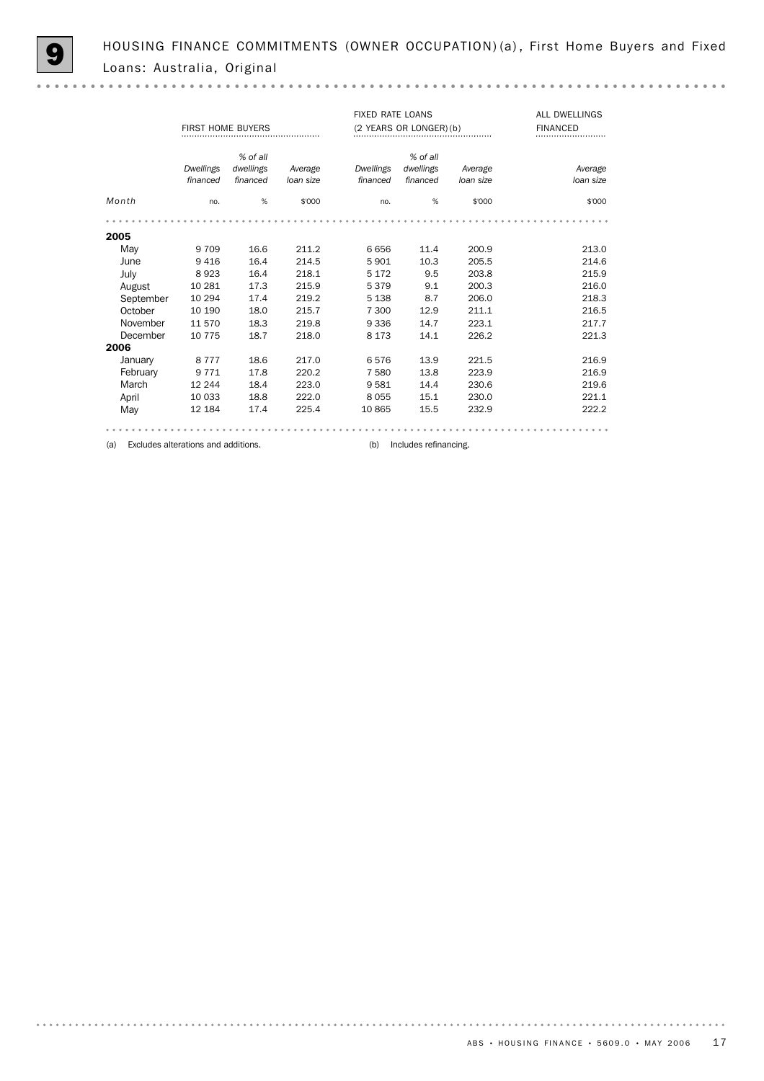|           | <b>FIRST HOME BUYERS</b>            |           |           | <b>FIXED RATE LOANS</b> | (2 YEARS OR LONGER) (b) | <b>ALL DWELLINGS</b><br><b>FINANCED</b> |           |
|-----------|-------------------------------------|-----------|-----------|-------------------------|-------------------------|-----------------------------------------|-----------|
|           |                                     | % of all  |           |                         | % of all                |                                         |           |
|           | Dwellings                           | dwellings | Average   | <b>Dwellings</b>        | dwellings               | Average                                 | Average   |
|           | financed                            | financed  | loan size | financed                | financed                | loan size                               | loan size |
| Month     | no.                                 | %         | \$'000    | no.                     | %                       | \$'000                                  | \$'000    |
|           |                                     |           |           |                         |                         |                                         |           |
| 2005      |                                     |           |           |                         |                         |                                         |           |
| May       | 9 7 0 9                             | 16.6      | 211.2     | 6656                    | 11.4                    | 200.9                                   | 213.0     |
| June      | 9416                                | 16.4      | 214.5     | 5901                    | 10.3                    | 205.5                                   | 214.6     |
| July      | 8923                                | 16.4      | 218.1     | 5 1 7 2                 | 9.5                     | 203.8                                   | 215.9     |
| August    | 10 281                              | 17.3      | 215.9     | 5379                    | 9.1                     | 200.3                                   | 216.0     |
| September | 10 294                              | 17.4      | 219.2     | 5 1 3 8                 | 8.7                     | 206.0                                   | 218.3     |
| October   | 10 190                              | 18.0      | 215.7     | 7 300                   | 12.9                    | 211.1                                   | 216.5     |
| November  | 11 570                              | 18.3      | 219.8     | 9 3 3 6                 | 14.7                    | 223.1                                   | 217.7     |
| December  | 10 7 7 5                            | 18.7      | 218.0     | 8 1 7 3                 | 14.1                    | 226.2                                   | 221.3     |
| 2006      |                                     |           |           |                         |                         |                                         |           |
| January   | 8 7 7 7                             | 18.6      | 217.0     | 6576                    | 13.9                    | 221.5                                   | 216.9     |
| February  | 9 7 7 1                             | 17.8      | 220.2     | 7 5 8 0                 | 13.8                    | 223.9                                   | 216.9     |
| March     | 12 244                              | 18.4      | 223.0     | 9581                    | 14.4                    | 230.6                                   | 219.6     |
| April     | 10 033                              | 18.8      | 222.0     | 8055                    | 15.1                    | 230.0                                   | 221.1     |
| May       | 12 184                              | 17.4      | 225.4     | 10 865                  | 15.5                    | 232.9                                   | 222.2     |
|           |                                     |           |           |                         |                         |                                         |           |
| (a)       | Excludes alterations and additions. |           |           | (b)                     | Includes refinancing.   |                                         |           |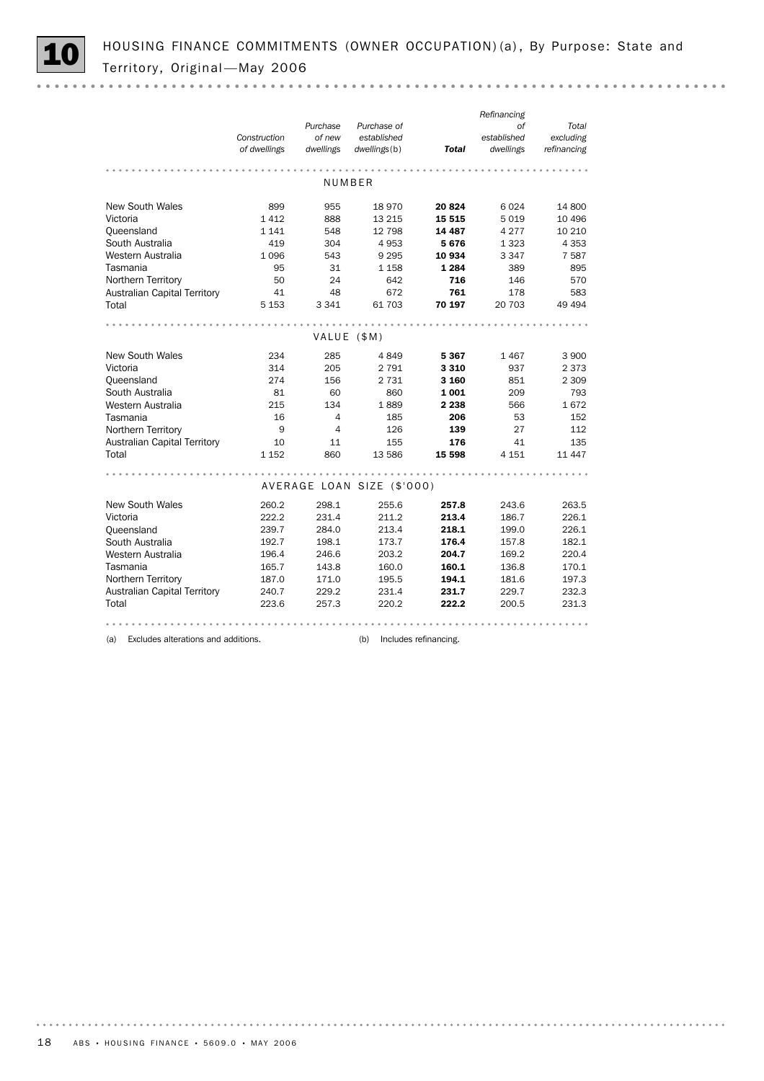|                                     |              |                |                            |         | Refinancing |             |
|-------------------------------------|--------------|----------------|----------------------------|---------|-------------|-------------|
|                                     |              | Purchase       | Purchase of                |         | of          | Total       |
|                                     | Construction | of new         | established                |         | established | excluding   |
|                                     | of dwellings | dwellings      | dwellings(b)               | Total   | dwellings   | refinancing |
|                                     |              |                |                            |         |             |             |
|                                     |              |                | NUMBER                     |         |             |             |
| <b>New South Wales</b>              | 899          | 955            | 18 970                     | 20824   | 6024        | 14 800      |
| Victoria                            | 1412         | 888            | 13 215                     | 15 5 15 | 5 0 1 9     | 10 49 6     |
| Oueensland                          | 1 1 4 1      | 548            | 12 798                     | 14 4 87 | 4 2 7 7     | 10 210      |
| South Australia                     | 419          | 304            | 4 9 5 3                    | 5676    | 1 3 2 3     | 4 3 5 3     |
| Western Australia                   | 1 0 9 6      | 543            | 9 2 9 5                    | 10 934  | 3 3 4 7     | 7 5 8 7     |
| Tasmania                            | 95           | 31             | 1 1 5 8                    | 1 2 8 4 | 389         | 895         |
| Northern Territory                  | 50           | 24             | 642                        | 716     | 146         | 570         |
| Australian Capital Territory        | 41           | 48             | 672                        | 761     | 178         | 583         |
| Total                               | 5 1 5 3      | 3 3 4 1        | 61 703                     | 70 197  | 20 703      | 49 4 94     |
|                                     |              |                |                            |         |             |             |
|                                     |              | VALUE (\$M)    |                            |         |             |             |
| <b>New South Wales</b>              | 234          | 285            | 4849                       | 5367    | 1467        | 3 900       |
| Victoria                            | 314          | 205            | 2 7 9 1                    | 3 3 1 0 | 937         | 2 3 7 3     |
| Queensland                          | 274          | 156            | 2 7 3 1                    | 3 160   | 851         | 2 3 0 9     |
| South Australia                     | 81           | 60             | 860                        | 1001    | 209         | 793         |
| Western Australia                   | 215          | 134            | 1889                       | 2 2 3 8 | 566         | 1672        |
| Tasmania                            | 16           | 4              | 185                        | 206     | 53          | 152         |
| Northern Territory                  | 9            | $\overline{a}$ | 126                        | 139     | 27          | 112         |
| <b>Australian Capital Territory</b> | 10           | 11             | 155                        | 176     | 41          | 135         |
| Total                               | 1 1 5 2      | 860            | 13 586                     | 15 598  | 4 1 5 1     | 11 447      |
|                                     |              |                |                            |         |             |             |
|                                     |              |                | AVERAGE LOAN SIZE (\$'000) |         |             |             |
| <b>New South Wales</b>              | 260.2        | 298.1          | 255.6                      | 257.8   | 243.6       | 263.5       |
| Victoria                            | 222.2        | 231.4          | 211.2                      | 213.4   | 186.7       | 226.1       |
| Queensland                          | 239.7        | 284.0          | 213.4                      | 218.1   | 199.0       | 226.1       |
| South Australia                     | 192.7        | 198.1          | 173.7                      | 176.4   | 157.8       | 182.1       |
| Western Australia                   | 196.4        | 246.6          | 203.2                      | 204.7   | 169.2       | 220.4       |
| Tasmania                            | 165.7        | 143.8          | 160.0                      | 160.1   | 136.8       | 170.1       |
| Northern Territory                  | 187.0        | 171.0          | 195.5                      | 194.1   | 181.6       | 197.3       |
| <b>Australian Capital Territory</b> | 240.7        | 229.2          | 231.4                      | 231.7   | 229.7       | 232.3       |
| Total                               | 223.6        | 257.3          | 220.2                      | 222.2   | 200.5       | 231.3       |
|                                     |              |                |                            |         |             |             |

(a) Excludes alterations and additions. (b) Includes refinancing.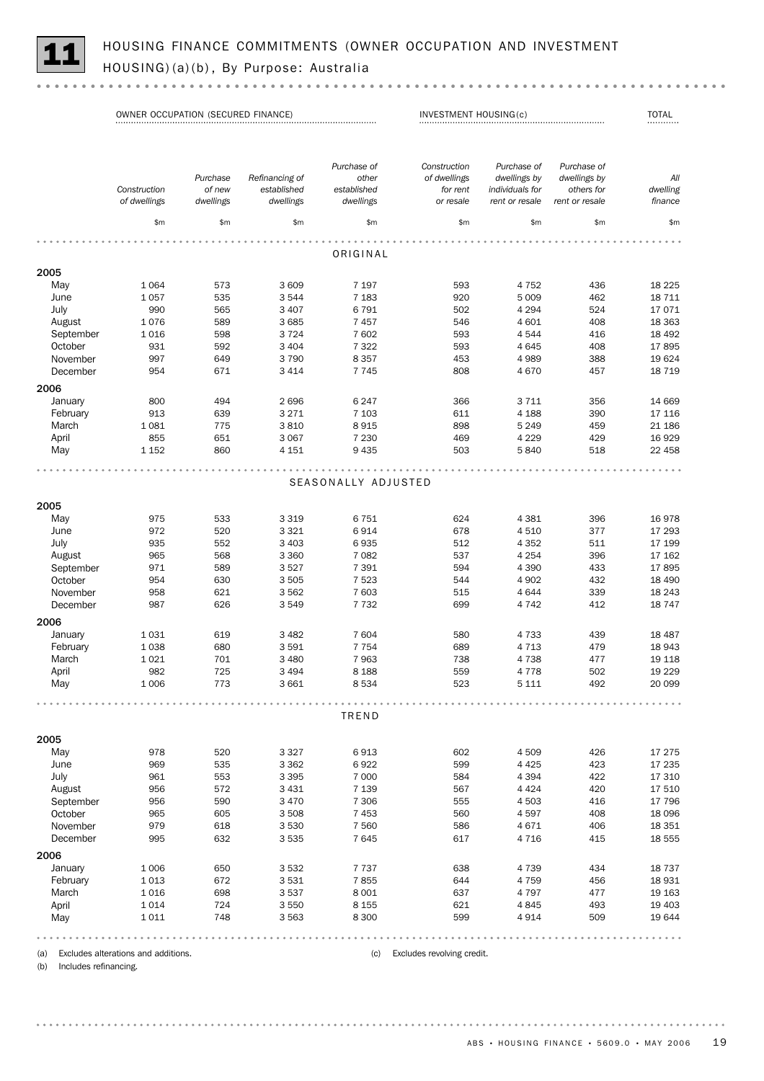

|                | OWNER OCCUPATION (SECURED FINANCE) |                     | INVESTMENT HOUSING(c)    |                          |                              | <b>TOTAL</b><br>                  |                              |                     |
|----------------|------------------------------------|---------------------|--------------------------|--------------------------|------------------------------|-----------------------------------|------------------------------|---------------------|
|                |                                    |                     |                          |                          |                              |                                   |                              |                     |
|                |                                    | Purchase            | Refinancing of           | Purchase of<br>other     | Construction<br>of dwellings | Purchase of<br>dwellings by       | Purchase of<br>dwellings by  | All                 |
|                | Construction<br>of dwellings       | of new<br>dwellings | established<br>dwellings | established<br>dwellings | for rent<br>or resale        | individuals for<br>rent or resale | others for<br>rent or resale | dwelling<br>finance |
|                | \$m                                | \$m\$               | \$m                      | \$m\$                    | \$m                          | \$m\$                             | \$m                          | \$m\$               |
|                |                                    |                     |                          | ORIGINAL                 |                              |                                   |                              |                     |
| 2005           |                                    |                     |                          |                          |                              |                                   |                              |                     |
| May            | 1 0 6 4                            | 573                 | 3 609                    | 7 1 9 7                  | 593                          | 4 7 5 2                           | 436                          | 18 2 25             |
| June           | 1057                               | 535                 | 3544                     | 7 1 8 3                  | 920                          | 5 0 0 9                           | 462                          | 18 711              |
| July           | 990                                | 565                 | 3 4 0 7                  | 6 7 9 1                  | 502                          | 4 2 9 4                           | 524                          | 17071               |
| August         | 1076                               | 589                 | 3 6 8 5                  | 7457                     | 546                          | 4 601                             | 408                          | 18 3 63             |
| September      | 1016                               | 598                 | 3724                     | 7 602                    | 593                          | 4 5 4 4                           | 416                          | 18 492              |
| October        | 931                                | 592                 | 3 4 0 4                  | 7 3 2 2                  | 593                          | 4645                              | 408                          | 17895               |
| November       | 997                                | 649                 | 3790                     | 8 3 5 7                  | 453                          | 4 9 8 9                           | 388                          | 19624               |
| December       | 954                                | 671                 | 3 4 1 4                  | 7745                     | 808                          | 4670                              | 457                          | 18 7 19             |
| 2006           |                                    |                     |                          |                          |                              |                                   |                              |                     |
| January        | 800                                | 494                 | 2696                     | 6 2 4 7                  | 366                          | 3 7 1 1                           | 356                          | 14 669              |
| February       | 913                                | 639                 | 3 2 7 1                  | 7 1 0 3                  | 611                          | 4 1 8 8                           | 390                          | 17 116              |
| March          | 1081                               | 775                 | 3810                     | 8915                     | 898                          | 5 2 4 9                           | 459                          | 21 186              |
| April          | 855                                | 651                 | 3 0 6 7                  | 7 2 3 0                  | 469                          | 4 2 2 9                           | 429                          | 16 9 29             |
| May            | 1 1 5 2                            | 860                 | 4 1 5 1                  | 9 4 3 5                  | 503                          | 5840                              | 518                          | 22 458              |
|                |                                    |                     |                          | SEASONALLY ADJUSTED      |                              |                                   |                              |                     |
| 2005           |                                    |                     |                          |                          |                              |                                   |                              |                     |
| May            | 975                                | 533                 | 3 3 1 9                  | 6751                     | 624                          | 4 3 8 1                           | 396                          | 16978               |
| June           | 972                                | 520                 | 3 3 2 1                  | 6914                     | 678                          | 4 5 1 0                           | 377                          | 17 293              |
| July           | 935                                | 552                 | 3 4 0 3                  | 6935                     | 512                          | 4 3 5 2                           | 511                          | 17 199              |
| August         | 965                                | 568                 | 3 3 6 0                  | 7 0 8 2                  | 537                          | 4 2 5 4                           | 396                          | 17 162              |
| September      | 971                                | 589                 | 3527                     | 7 3 9 1                  | 594                          | 4 3 9 0                           | 433                          | 17895               |
| October        | 954                                | 630                 | 3 5 0 5                  | 7 5 23                   | 544                          | 4 9 0 2                           | 432                          | 18 490              |
| November       | 958                                | 621                 | 3 5 6 2                  | 7 603                    | 515                          | 4 6 4 4                           | 339                          | 18 24 3             |
| December       | 987                                | 626                 | 3549                     | 7 7 3 2                  | 699                          | 4 7 4 2                           | 412                          | 18747               |
| 2006           |                                    |                     |                          |                          |                              |                                   |                              |                     |
| January        | 1031                               | 619                 | 3 4 8 2                  | 7 604                    | 580                          | 4 7 3 3                           | 439                          | 18 4 87             |
| February       | 1038                               | 680                 | 3591                     | 7 7 5 4                  | 689                          | 4 7 1 3                           | 479                          | 18 943              |
| March          | 1021                               | 701                 | 3 4 8 0                  | 7963                     | 738                          | 4 7 3 8                           | 477                          | 19 118              |
| April          | 982                                | 725                 | 3 4 9 4                  | 8 1 8 8                  | 559                          | 4 7 7 8                           | 502                          | 19 229              |
| May            | 1 0 0 6                            | 773                 | 3 661                    | 8 5 3 4                  | 523                          | 5 1 1 1                           | 492                          | 20 099              |
|                |                                    |                     |                          | TREND                    |                              |                                   |                              |                     |
| 2005           |                                    |                     |                          |                          |                              |                                   |                              |                     |
| May            | 978                                | 520                 | 3 3 2 7                  | 6913                     | 602                          | 4 5 0 9                           | 426                          | 17 275              |
| June           | 969                                | 535                 | 3 3 6 2                  | 6922                     | 599                          | 4 4 2 5                           | 423                          | 17 235              |
| July           | 961                                | 553                 | 3 3 9 5                  | 7 0 0 0                  | 584                          | 4 3 9 4                           | 422                          | 17 310              |
| August         | 956                                | 572                 | 3 4 3 1                  | 7 1 3 9                  | 567                          | 4 4 2 4                           | 420                          | 17 510              |
| September      | 956                                | 590                 | 3 4 7 0                  | 7 3 0 6                  | 555                          | 4 5 0 3                           | 416                          | 17 796              |
| October        | 965                                | 605                 | 3 5 0 8                  | 7 4 5 3                  | 560                          | 4597                              | 408                          | 18 096              |
| November       | 979                                | 618                 | 3 5 3 0                  | 7 5 6 0                  | 586                          | 4 6 7 1                           | 406                          | 18 351              |
| December       | 995                                | 632                 | 3 5 3 5                  | 7645                     | 617                          | 4 7 1 6                           | 415                          | 18 555              |
| 2006           |                                    |                     |                          |                          |                              |                                   |                              |                     |
| January        | 1 0 0 6                            | 650                 | 3 5 3 2                  | 7 7 3 7                  | 638                          | 4 7 3 9                           | 434                          | 18737               |
| February       | 1013                               | 672                 | 3531                     | 7855                     | 644                          | 4 7 5 9                           |                              | 18 9 31             |
|                | 1016                               | 698                 | 3 5 3 7                  | 8 0 0 1                  | 637                          | 4 7 9 7                           | 456<br>477                   | 19 163              |
| March<br>April | 1014                               | 724                 | 3 5 5 0                  | 8 1 5 5                  | 621                          | 4845                              | 493                          | 19 403              |
| May            | 1011                               | 748                 | 3 5 6 3                  | 8 3 0 0                  | 599                          | 4914                              | 509                          | 19 644              |
|                |                                    |                     |                          |                          |                              |                                   |                              |                     |

(a) Excludes alterations and additions. (c) Excludes revolving credit.

(b) Includes refinancing.

ABS • HOUSING FINANCE • 5609.0 • MAY 2006 19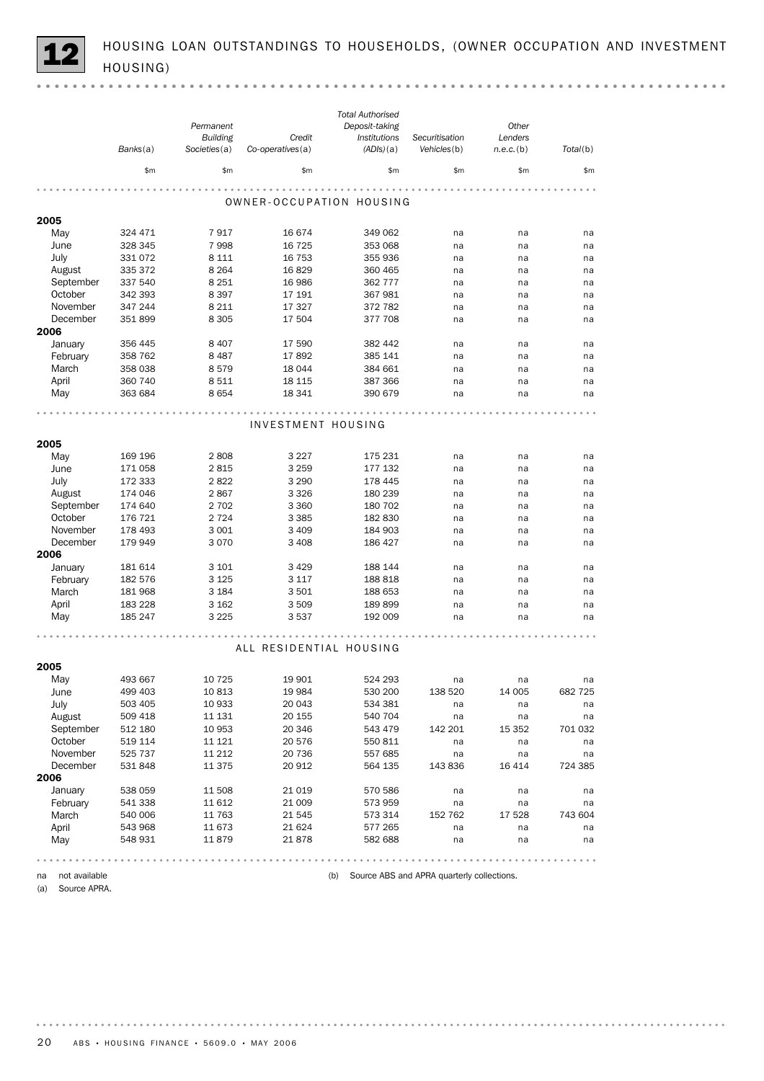HOUSING LOAN OUTSTANDINGS TO HOUSEHOLDS, (OWNER OCCUPATION AND INVESTMENT<br>HOUSING)

|                     |          |                 |                          | <b>Total Authorised</b> |                                                                              |              |          |
|---------------------|----------|-----------------|--------------------------|-------------------------|------------------------------------------------------------------------------|--------------|----------|
|                     |          | Permanent       |                          | Deposit-taking          |                                                                              | Other        |          |
|                     |          | <b>Building</b> | Credit                   | Institutions            | Securitisation                                                               | Lenders      |          |
|                     | Banks(a) | Societies(a)    | Co-operatives(a)         | (ADIs)(a)               | Vehicles(b)                                                                  | $n.e.c.$ (b) | Total(b) |
|                     | \$m      | \$m\$           | \$m                      | \$m                     | \$m                                                                          | \$m          | \$m\$    |
|                     |          |                 |                          |                         |                                                                              |              |          |
|                     |          |                 | OWNER-OCCUPATION HOUSING |                         |                                                                              |              |          |
| 2005                |          |                 |                          |                         |                                                                              |              |          |
| May                 | 324 471  | 7917            | 16 674                   | 349 062                 | na                                                                           | na           | na       |
| June                | 328 345  | 7998            | 16 7 25                  | 353 068                 | na                                                                           | na           | na       |
| July                | 331 072  | 8 1 1 1         | 16 753                   | 355 936                 | na                                                                           | na           | na       |
| August              | 335 372  | 8 2 6 4         | 16829                    | 360 465                 | na                                                                           | na           | na       |
| September           | 337 540  | 8 2 5 1         | 16 986                   | 362 777                 | na                                                                           | na           | na       |
| October             | 342 393  | 8 3 9 7         | 17 191                   | 367 981                 | na                                                                           | na           | na       |
| November            | 347 244  | 8 2 1 1         | 17 327                   | 372 782                 | na                                                                           | na           | na       |
| December<br>2006    | 351899   | 8 3 0 5         | 17 504                   | 377 708                 | na                                                                           | na           | na       |
| January             | 356 445  | 8 4 0 7         | 17 590                   | 382 442                 | na                                                                           | na           | na       |
| February            | 358 762  | 8487            | 17892                    | 385 141                 | na                                                                           | na           | na       |
| March               | 358 038  | 8579            | 18 044                   | 384 661                 | na                                                                           | na           | na       |
| April               | 360 740  | 8511            | 18 115                   | 387 366                 | na                                                                           | na           | na       |
| May                 | 363 684  | 8654            | 18 341                   | 390 679                 | na                                                                           | na           | na       |
|                     |          |                 |                          |                         |                                                                              |              |          |
|                     |          |                 |                          |                         |                                                                              |              |          |
|                     |          |                 | INVESTMENT HOUSING       |                         |                                                                              |              |          |
| 2005                |          |                 |                          |                         |                                                                              |              |          |
| May                 | 169 196  | 2808            | 3 2 2 7                  | 175 231                 | na                                                                           | na           | na       |
| June                | 171 058  | 2815            | 3 2 5 9                  | 177 132                 | na                                                                           | na           | na       |
| July                | 172 333  | 2822            | 3 2 9 0                  | 178 445                 | na                                                                           | na           | na       |
| August              | 174 046  | 2867            | 3 3 2 6                  | 180 239                 | na                                                                           | na           | na       |
| September           | 174 640  | 2 7 0 2         | 3 3 6 0                  | 180 702                 | na                                                                           | na           | na       |
| October             | 176 721  | 2 7 2 4         | 3 3 8 5                  | 182 830                 | na                                                                           | na           | na       |
| November            | 178 493  | 3 0 0 1         | 3 4 0 9                  | 184 903                 | na                                                                           | na           | na       |
| December            | 179 949  | 3070            | 3 4 0 8                  | 186 427                 | na                                                                           | na           | na       |
| 2006                |          |                 |                          |                         |                                                                              |              |          |
| January             | 181 614  | 3 1 0 1         | 3 4 2 9                  | 188 144                 | na                                                                           | na           | na       |
| February            | 182 576  | 3 1 2 5         | 3 1 1 7                  | 188 818                 | na                                                                           | na           | na       |
| March               | 181 968  | 3 1 8 4         | 3501                     | 188 653                 | na                                                                           | na           | na       |
| April               | 183 228  | 3 1 6 2         | 3 5 0 9                  | 189 899                 | na                                                                           | na           | na       |
| May                 | 185 247  | 3 2 2 5         | 3537                     | 192 009                 | na                                                                           | na           | na       |
|                     |          |                 |                          |                         |                                                                              |              |          |
|                     |          |                 | ALL RESIDENTIAL HOUSING  |                         |                                                                              |              |          |
| 2005                |          |                 |                          |                         |                                                                              |              |          |
| May                 | 493 667  | 10 7 25         | 19 901                   | 524 293                 | na                                                                           | na           | na       |
| June                | 499 403  | 10813           | 19 9 84                  | 530 200                 | 138 520                                                                      | 14 005       | 682 725  |
| July                | 503 405  | 10 933          | 20 043                   | 534 381                 | na                                                                           | na           | na       |
| August              | 509 418  | 11 131          | 20 155                   | 540 704                 | na                                                                           | na           | na       |
| September           | 512 180  | 10 953          | 20 346                   | 543 479                 | 142 201                                                                      | 15 3 5 2     | 701 032  |
| October             | 519 114  | 11 121          | 20 576                   | 550 811                 | na                                                                           | na           | na       |
| November            | 525 737  | 11 212          | 20 736                   | 557 685                 | na                                                                           | na           | na       |
| December            | 531 848  | 11 375          | 20 912                   | 564 135                 | 143 836                                                                      | 16 414       | 724 385  |
| 2006                |          |                 |                          |                         |                                                                              |              |          |
| January             | 538 059  | 11 508          | 21 0 19                  | 570 586                 | na                                                                           | na           | na       |
| February            | 541 338  | 11 612          | 21 009                   | 573 959                 | na                                                                           | na           | na       |
| March               | 540 006  | 11 763          | 21 545                   | 573 314                 | 152 762                                                                      | 17 528       | 743 604  |
| April               | 543 968  | 11 673          | 21 624                   | 577 265                 | na                                                                           | na           | na       |
| May                 | 548 931  | 11879           | 21878                    | 582 688                 | na                                                                           | na           | na       |
|                     |          |                 |                          |                         | $\begin{array}{cccccccccccccc} 0 & 0 & 0 & 0 & 0 & 0 & 0 & 0 \\ \end{array}$ |              |          |
| not available<br>na |          |                 |                          | (b)                     | Source ABS and APRA quarterly collections.                                   |              |          |

(a) Source APRA.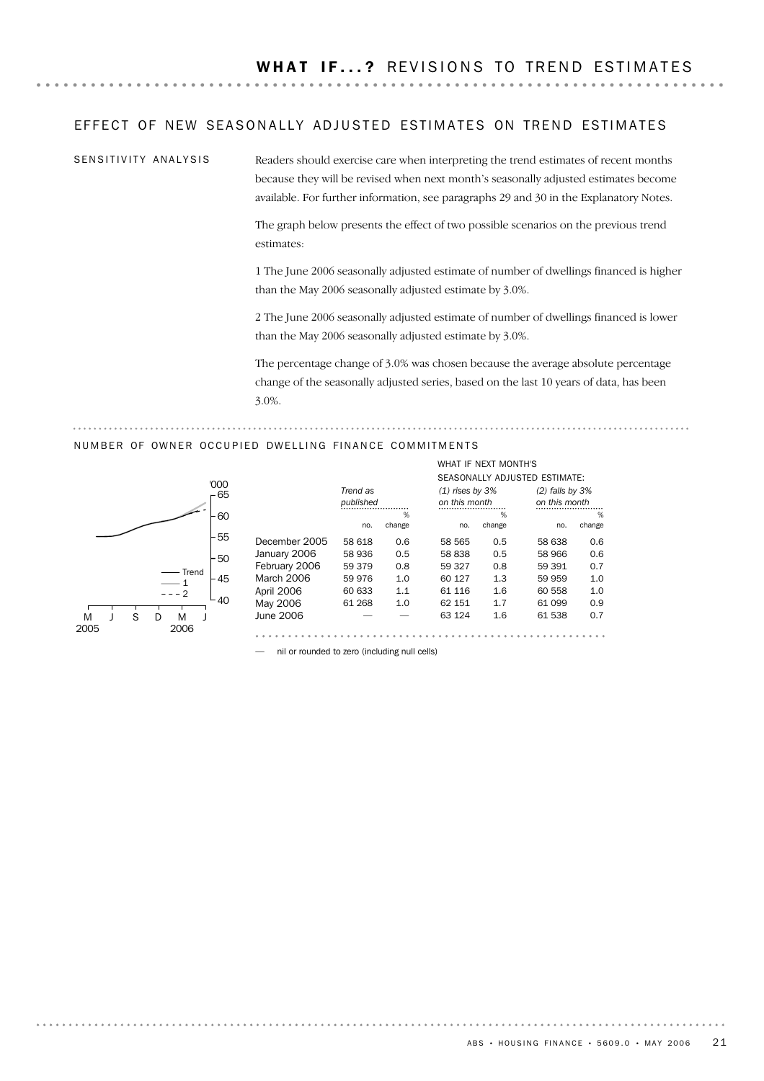## EFFECT OF NEW SEASONALLY ADJUSTED ESTIMATES ON TREND ESTIMATES

Readers should exercise care when interpreting the trend estimates of recent months because they will be revised when next month's seasonally adjusted estimates become available. For further information, see paragraphs 29 and 30 in the Explanatory Notes. SENSITIVITY ANALYSIS

> The graph below presents the effect of two possible scenarios on the previous trend estimates:

1 The June 2006 seasonally adjusted estimate of number of dwellings financed is higher than the May 2006 seasonally adjusted estimate by 3.0%.

2 The June 2006 seasonally adjusted estimate of number of dwellings financed is lower than the May 2006 seasonally adjusted estimate by 3.0%.

The percentage change of 3.0% was chosen because the average absolute percentage change of the seasonally adjusted series, based on the last 10 years of data, has been 3.0%.

WHAT IF NEXT MONTH'S

## NUMBER OF OWNER OCCUPIED DWELLING FINANCE COMMITMENTS



|               |           |        |                   |        | SEASONALLY ADJUSTED ESTIMATE: |        |
|---------------|-----------|--------|-------------------|--------|-------------------------------|--------|
|               | Trend as  |        | $(1)$ rises by 3% |        | $(2)$ falls by $3%$           |        |
|               | published |        | on this month     |        | on this month                 |        |
|               |           | %      |                   | %      |                               | %      |
|               | no.       | change | no.               | change | no.                           | change |
| December 2005 | 58 618    | 0.6    | 58 565            | 0.5    | 58 638                        | 0.6    |
| January 2006  | 58 936    | 0.5    | 58838             | 0.5    | 58 966                        | 0.6    |
| February 2006 | 59 379    | 0.8    | 59 327            | 0.8    | 59 391                        | 0.7    |
| March 2006    | 59 976    | 1.0    | 60 127            | 1.3    | 59 959                        | 1.0    |
| April 2006    | 60 633    | 1.1    | 61 116            | 1.6    | 60 558                        | 1.0    |
| May 2006      | 61 268    | 1.0    | 62 151            | 1.7    | 61 099                        | 0.9    |
| June 2006     |           |        | 63 1 24           | 1.6    | 61 538                        | 0.7    |
|               |           |        |                   |        |                               |        |

— nil or rounded to zero (including null cells)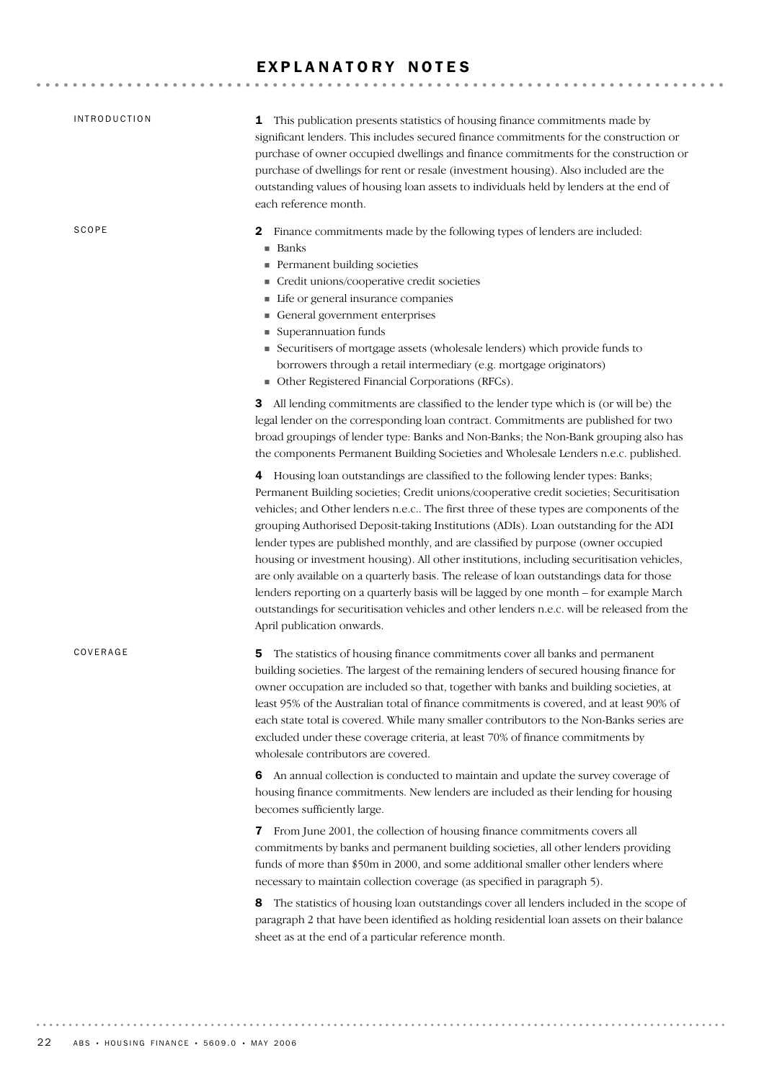## EXPLANATORY NOTES

| <b>INTRODUCTION</b> | 1 This publication presents statistics of housing finance commitments made by<br>significant lenders. This includes secured finance commitments for the construction or<br>purchase of owner occupied dwellings and finance commitments for the construction or<br>purchase of dwellings for rent or resale (investment housing). Also included are the<br>outstanding values of housing loan assets to individuals held by lenders at the end of<br>each reference month.                                                                                                                                                                                                                                                                                                                                                                                           |
|---------------------|----------------------------------------------------------------------------------------------------------------------------------------------------------------------------------------------------------------------------------------------------------------------------------------------------------------------------------------------------------------------------------------------------------------------------------------------------------------------------------------------------------------------------------------------------------------------------------------------------------------------------------------------------------------------------------------------------------------------------------------------------------------------------------------------------------------------------------------------------------------------|
| SCOPE               | Finance commitments made by the following types of lenders are included:<br>2<br>$\blacksquare$ Banks<br>Permanent building societies<br>Credit unions/cooperative credit societies<br>Life or general insurance companies<br>General government enterprises<br>Superannuation funds<br>Securitisers of mortgage assets (wholesale lenders) which provide funds to<br>borrowers through a retail intermediary (e.g. mortgage originators)<br>• Other Registered Financial Corporations (RFCs).                                                                                                                                                                                                                                                                                                                                                                       |
|                     | <b>3</b> All lending commitments are classified to the lender type which is (or will be) the<br>legal lender on the corresponding loan contract. Commitments are published for two<br>broad groupings of lender type: Banks and Non-Banks; the Non-Bank grouping also has<br>the components Permanent Building Societies and Wholesale Lenders n.e.c. published.                                                                                                                                                                                                                                                                                                                                                                                                                                                                                                     |
|                     | 4 Housing loan outstandings are classified to the following lender types: Banks;<br>Permanent Building societies; Credit unions/cooperative credit societies; Securitisation<br>vehicles; and Other lenders n.e.c The first three of these types are components of the<br>grouping Authorised Deposit-taking Institutions (ADIs). Loan outstanding for the ADI<br>lender types are published monthly, and are classified by purpose (owner occupied<br>housing or investment housing). All other institutions, including securitisation vehicles,<br>are only available on a quarterly basis. The release of loan outstandings data for those<br>lenders reporting on a quarterly basis will be lagged by one month - for example March<br>outstandings for securitisation vehicles and other lenders n.e.c. will be released from the<br>April publication onwards. |
| COVERAGE            | The statistics of housing finance commitments cover all banks and permanent<br>5<br>building societies. The largest of the remaining lenders of secured housing finance for<br>owner occupation are included so that, together with banks and building societies, at<br>least 95% of the Australian total of finance commitments is covered, and at least 90% of<br>each state total is covered. While many smaller contributors to the Non-Banks series are<br>excluded under these coverage criteria, at least 70% of finance commitments by<br>wholesale contributors are covered.                                                                                                                                                                                                                                                                                |
|                     | 6 An annual collection is conducted to maintain and update the survey coverage of<br>housing finance commitments. New lenders are included as their lending for housing<br>becomes sufficiently large.                                                                                                                                                                                                                                                                                                                                                                                                                                                                                                                                                                                                                                                               |
|                     | 7 From June 2001, the collection of housing finance commitments covers all<br>commitments by banks and permanent building societies, all other lenders providing<br>funds of more than \$50m in 2000, and some additional smaller other lenders where<br>necessary to maintain collection coverage (as specified in paragraph 5).                                                                                                                                                                                                                                                                                                                                                                                                                                                                                                                                    |
|                     | The statistics of housing loan outstandings cover all lenders included in the scope of<br>8<br>paragraph 2 that have been identified as holding residential loan assets on their balance<br>sheet as at the end of a particular reference month.                                                                                                                                                                                                                                                                                                                                                                                                                                                                                                                                                                                                                     |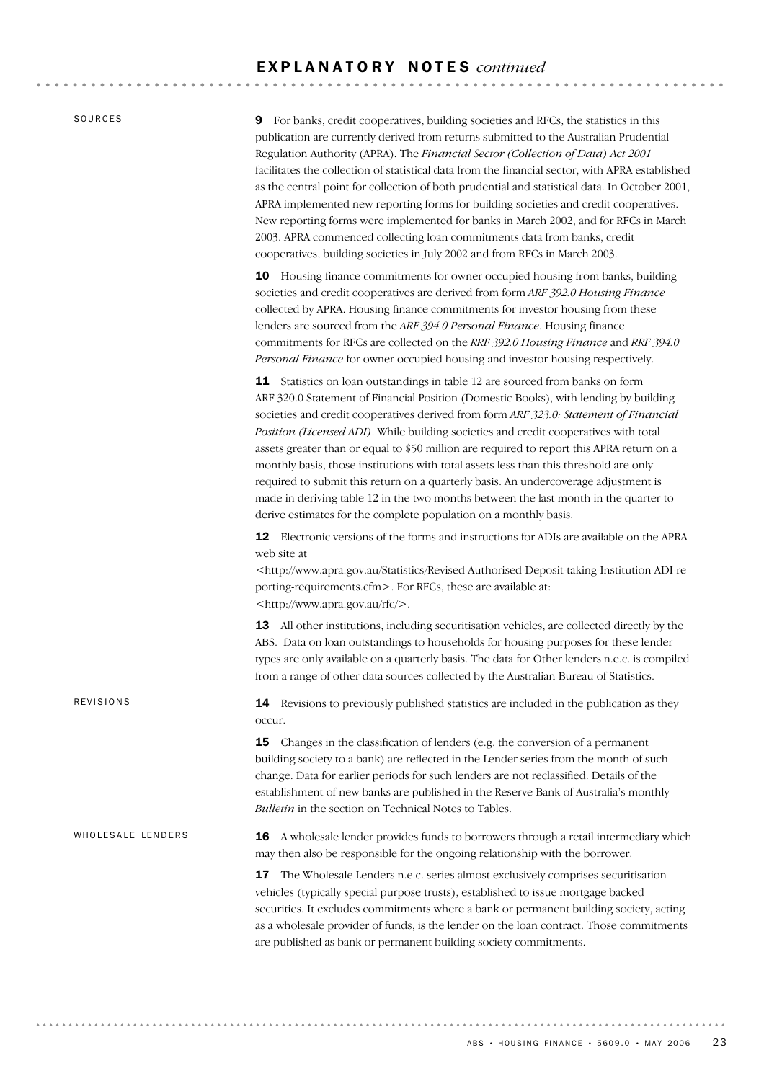SOURCES

REVISIONS

9 For banks, credit cooperatives, building societies and RFCs, the statistics in this publication are currently derived from returns submitted to the Australian Prudential Regulation Authority (APRA). The *Financial Sector (Collection of Data) Act 2001* facilitates the collection of statistical data from the financial sector, with APRA established as the central point for collection of both prudential and statistical data. In October 2001, APRA implemented new reporting forms for building societies and credit cooperatives. New reporting forms were implemented for banks in March 2002, and for RFCs in March 2003. APRA commenced collecting loan commitments data from banks, credit cooperatives, building societies in July 2002 and from RFCs in March 2003.

10 Housing finance commitments for owner occupied housing from banks, building societies and credit cooperatives are derived from form *ARF 392.0 Housing Finance* collected by APRA. Housing finance commitments for investor housing from these lenders are sourced from the *ARF 394.0 Personal Finance*. Housing finance commitments for RFCs are collected on the *RRF 392.0 Housing Finance* and *RRF 394.0 Personal Finance* for owner occupied housing and investor housing respectively.

11 Statistics on loan outstandings in table 12 are sourced from banks on form ARF 320.0 Statement of Financial Position (Domestic Books), with lending by building societies and credit cooperatives derived from form *ARF 323.0: Statement of Financial Position (Licensed ADI)*. While building societies and credit cooperatives with total assets greater than or equal to \$50 million are required to report this APRA return on a monthly basis, those institutions with total assets less than this threshold are only required to submit this return on a quarterly basis. An undercoverage adjustment is made in deriving table 12 in the two months between the last month in the quarter to derive estimates for the complete population on a monthly basis.

12 Electronic versions of the forms and instructions for ADIs are available on the APRA web site at

<http://www.apra.gov.au/Statistics/Revised-Authorised-Deposit-taking-Institution-ADI-re porting-requirements.cfm>. For RFCs, these are available at: <http://www.apra.gov.au/rfc/>.

13 All other institutions, including securitisation vehicles, are collected directly by the ABS. Data on loan outstandings to households for housing purposes for these lender types are only available on a quarterly basis. The data for Other lenders n.e.c. is compiled from a range of other data sources collected by the Australian Bureau of Statistics.

14 Revisions to previously published statistics are included in the publication as they occur.

**15** Changes in the classification of lenders (e.g. the conversion of a permanent building society to a bank) are reflected in the Lender series from the month of such change. Data for earlier periods for such lenders are not reclassified. Details of the establishment of new banks are published in the Reserve Bank of Australia's monthly *Bulletin* in the section on Technical Notes to Tables.

16 A wholesale lender provides funds to borrowers through a retail intermediary which may then also be responsible for the ongoing relationship with the borrower. WHOLESALE LENDERS

> 17 The Wholesale Lenders n.e.c. series almost exclusively comprises securitisation vehicles (typically special purpose trusts), established to issue mortgage backed securities. It excludes commitments where a bank or permanent building society, acting as a wholesale provider of funds, is the lender on the loan contract. Those commitments are published as bank or permanent building society commitments.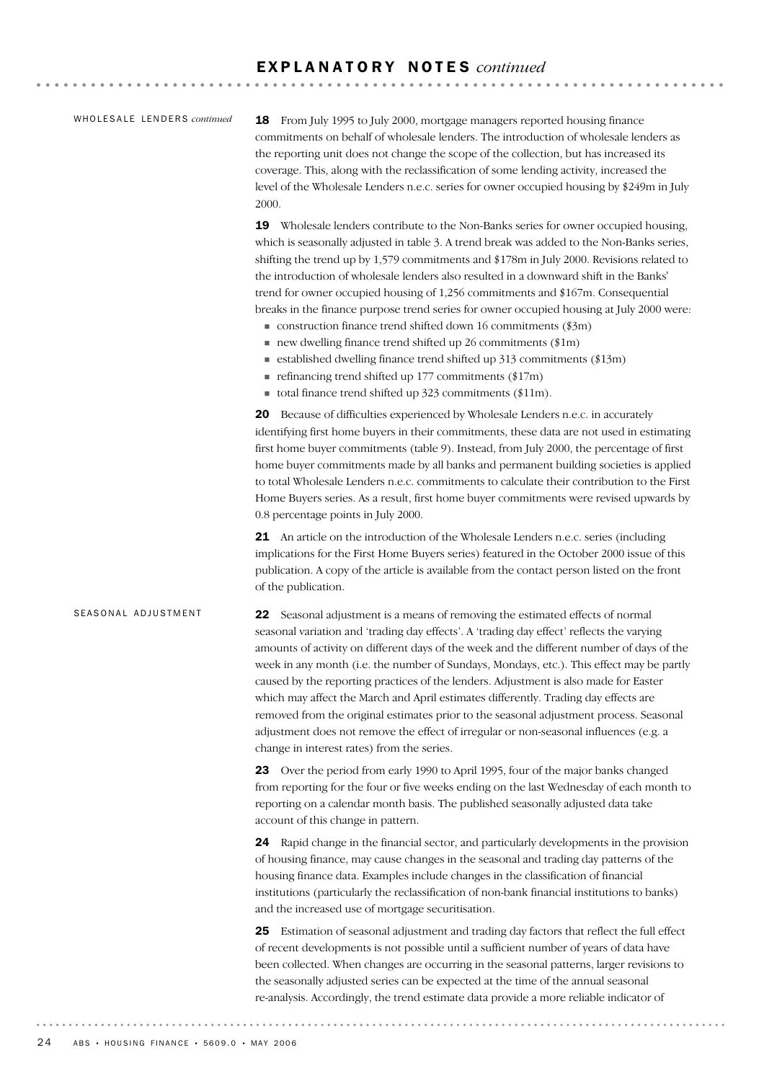#### WHOLESALE LENDERS *continued*

18 From July 1995 to July 2000, mortgage managers reported housing finance commitments on behalf of wholesale lenders. The introduction of wholesale lenders as the reporting unit does not change the scope of the collection, but has increased its coverage. This, along with the reclassification of some lending activity, increased the level of the Wholesale Lenders n.e.c. series for owner occupied housing by \$249m in July 2000.

19 Wholesale lenders contribute to the Non-Banks series for owner occupied housing, which is seasonally adjusted in table 3. A trend break was added to the Non-Banks series, shifting the trend up by 1,579 commitments and \$178m in July 2000. Revisions related to the introduction of wholesale lenders also resulted in a downward shift in the Banks' trend for owner occupied housing of 1,256 commitments and \$167m. Consequential breaks in the finance purpose trend series for owner occupied housing at July 2000 were:

- $\blacksquare$  construction finance trend shifted down 16 commitments (\$3m)
- $\blacksquare$  new dwelling finance trend shifted up 26 commitments (\$1m)
- $\blacksquare$  established dwelling finance trend shifted up 313 commitments (\$13m)
- $\blacksquare$  refinancing trend shifted up 177 commitments (\$17m)
- total finance trend shifted up  $323$  commitments (\$11m).

20 Because of difficulties experienced by Wholesale Lenders n.e.c. in accurately identifying first home buyers in their commitments, these data are not used in estimating first home buyer commitments (table 9). Instead, from July 2000, the percentage of first home buyer commitments made by all banks and permanent building societies is applied to total Wholesale Lenders n.e.c. commitments to calculate their contribution to the First Home Buyers series. As a result, first home buyer commitments were revised upwards by 0.8 percentage points in July 2000.

21 An article on the introduction of the Wholesale Lenders n.e.c. series (including implications for the First Home Buyers series) featured in the October 2000 issue of this publication. A copy of the article is available from the contact person listed on the front of the publication.

#### SEASONAL ADJUSTMENT

22 Seasonal adjustment is a means of removing the estimated effects of normal seasonal variation and 'trading day effects'. A 'trading day effect' reflects the varying amounts of activity on different days of the week and the different number of days of the week in any month (i.e. the number of Sundays, Mondays, etc.). This effect may be partly caused by the reporting practices of the lenders. Adjustment is also made for Easter which may affect the March and April estimates differently. Trading day effects are removed from the original estimates prior to the seasonal adjustment process. Seasonal adjustment does not remove the effect of irregular or non-seasonal influences (e.g. a change in interest rates) from the series.

23 Over the period from early 1990 to April 1995, four of the major banks changed from reporting for the four or five weeks ending on the last Wednesday of each month to reporting on a calendar month basis. The published seasonally adjusted data take account of this change in pattern.

24 Rapid change in the financial sector, and particularly developments in the provision of housing finance, may cause changes in the seasonal and trading day patterns of the housing finance data. Examples include changes in the classification of financial institutions (particularly the reclassification of non-bank financial institutions to banks) and the increased use of mortgage securitisation.

25 Estimation of seasonal adjustment and trading day factors that reflect the full effect of recent developments is not possible until a sufficient number of years of data have been collected. When changes are occurring in the seasonal patterns, larger revisions to the seasonally adjusted series can be expected at the time of the annual seasonal re-analysis. Accordingly, the trend estimate data provide a more reliable indicator of

. . . . . . . . . . . .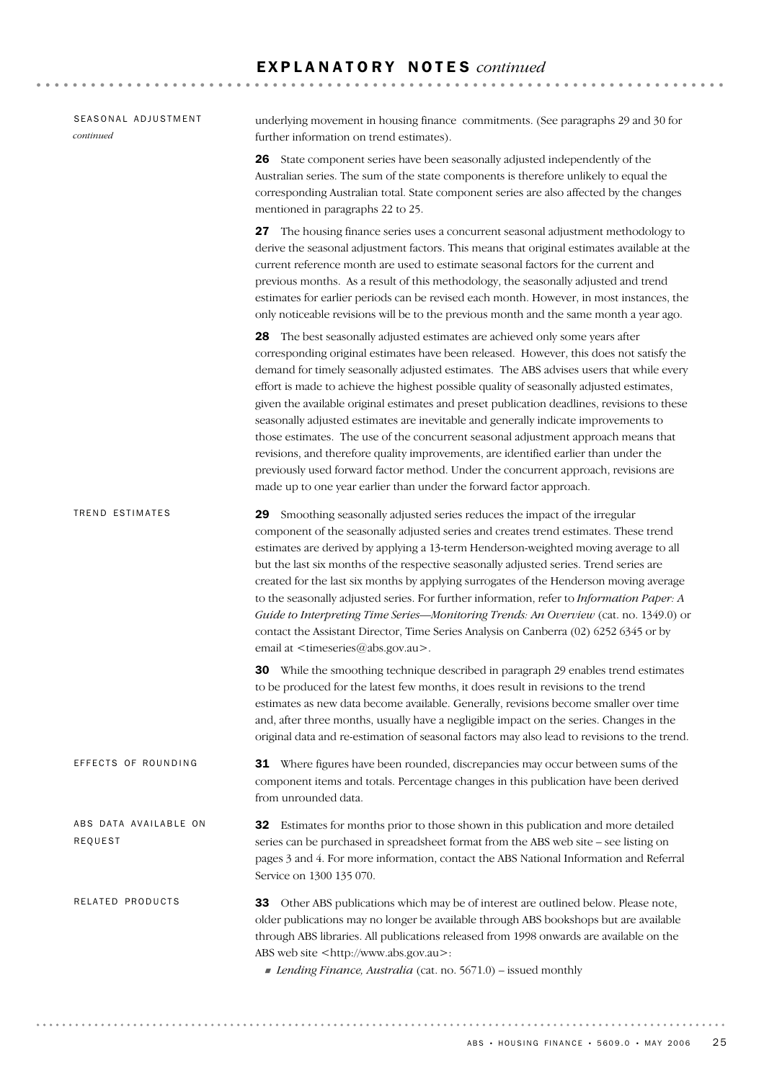| SEASONAL ADJUSTMENT<br>continued | underlying movement in housing finance commitments. (See paragraphs 29 and 30 for<br>further information on trend estimates).                                                                                                                                                                                                                                                                                                                                                                                                                                                                                                                                                                                                                                                                                                                                                                    |
|----------------------------------|--------------------------------------------------------------------------------------------------------------------------------------------------------------------------------------------------------------------------------------------------------------------------------------------------------------------------------------------------------------------------------------------------------------------------------------------------------------------------------------------------------------------------------------------------------------------------------------------------------------------------------------------------------------------------------------------------------------------------------------------------------------------------------------------------------------------------------------------------------------------------------------------------|
|                                  | 26 State component series have been seasonally adjusted independently of the<br>Australian series. The sum of the state components is therefore unlikely to equal the<br>corresponding Australian total. State component series are also affected by the changes<br>mentioned in paragraphs 22 to 25.                                                                                                                                                                                                                                                                                                                                                                                                                                                                                                                                                                                            |
|                                  | <b>27</b> The housing finance series uses a concurrent seasonal adjustment methodology to<br>derive the seasonal adjustment factors. This means that original estimates available at the<br>current reference month are used to estimate seasonal factors for the current and<br>previous months. As a result of this methodology, the seasonally adjusted and trend<br>estimates for earlier periods can be revised each month. However, in most instances, the<br>only noticeable revisions will be to the previous month and the same month a year ago.                                                                                                                                                                                                                                                                                                                                       |
|                                  | 28 The best seasonally adjusted estimates are achieved only some years after<br>corresponding original estimates have been released. However, this does not satisfy the<br>demand for timely seasonally adjusted estimates. The ABS advises users that while every<br>effort is made to achieve the highest possible quality of seasonally adjusted estimates,<br>given the available original estimates and preset publication deadlines, revisions to these<br>seasonally adjusted estimates are inevitable and generally indicate improvements to<br>those estimates. The use of the concurrent seasonal adjustment approach means that<br>revisions, and therefore quality improvements, are identified earlier than under the<br>previously used forward factor method. Under the concurrent approach, revisions are<br>made up to one year earlier than under the forward factor approach. |
| TREND ESTIMATES                  | 29 Smoothing seasonally adjusted series reduces the impact of the irregular<br>component of the seasonally adjusted series and creates trend estimates. These trend<br>estimates are derived by applying a 13-term Henderson-weighted moving average to all<br>but the last six months of the respective seasonally adjusted series. Trend series are<br>created for the last six months by applying surrogates of the Henderson moving average<br>to the seasonally adjusted series. For further information, refer to Information Paper: A<br>Guide to Interpreting Time Series—Monitoring Trends: An Overview (cat. no. 1349.0) or<br>contact the Assistant Director, Time Series Analysis on Canberra (02) 6252 6345 or by<br>email at <timeseries@abs.gov.au>.</timeseries@abs.gov.au>                                                                                                      |
|                                  | <b>30</b> While the smoothing technique described in paragraph 29 enables trend estimates<br>to be produced for the latest few months, it does result in revisions to the trend<br>estimates as new data become available. Generally, revisions become smaller over time<br>and, after three months, usually have a negligible impact on the series. Changes in the<br>original data and re-estimation of seasonal factors may also lead to revisions to the trend.                                                                                                                                                                                                                                                                                                                                                                                                                              |
| EFFECTS OF ROUNDING              | 31 Where figures have been rounded, discrepancies may occur between sums of the<br>component items and totals. Percentage changes in this publication have been derived<br>from unrounded data.                                                                                                                                                                                                                                                                                                                                                                                                                                                                                                                                                                                                                                                                                                  |
| ABS DATA AVAILABLE ON<br>REQUEST | Estimates for months prior to those shown in this publication and more detailed<br>32<br>series can be purchased in spreadsheet format from the ABS web site - see listing on<br>pages 3 and 4. For more information, contact the ABS National Information and Referral<br>Service on 1300 135 070.                                                                                                                                                                                                                                                                                                                                                                                                                                                                                                                                                                                              |
| RELATED PRODUCTS                 | Other ABS publications which may be of interest are outlined below. Please note,<br>33<br>older publications may no longer be available through ABS bookshops but are available<br>through ABS libraries. All publications released from 1998 onwards are available on the<br>ABS web site <http: www.abs.gov.au="">:<br/>Lending Finance, Australia (cat. no. 5671.0) - issued monthly</http:>                                                                                                                                                                                                                                                                                                                                                                                                                                                                                                  |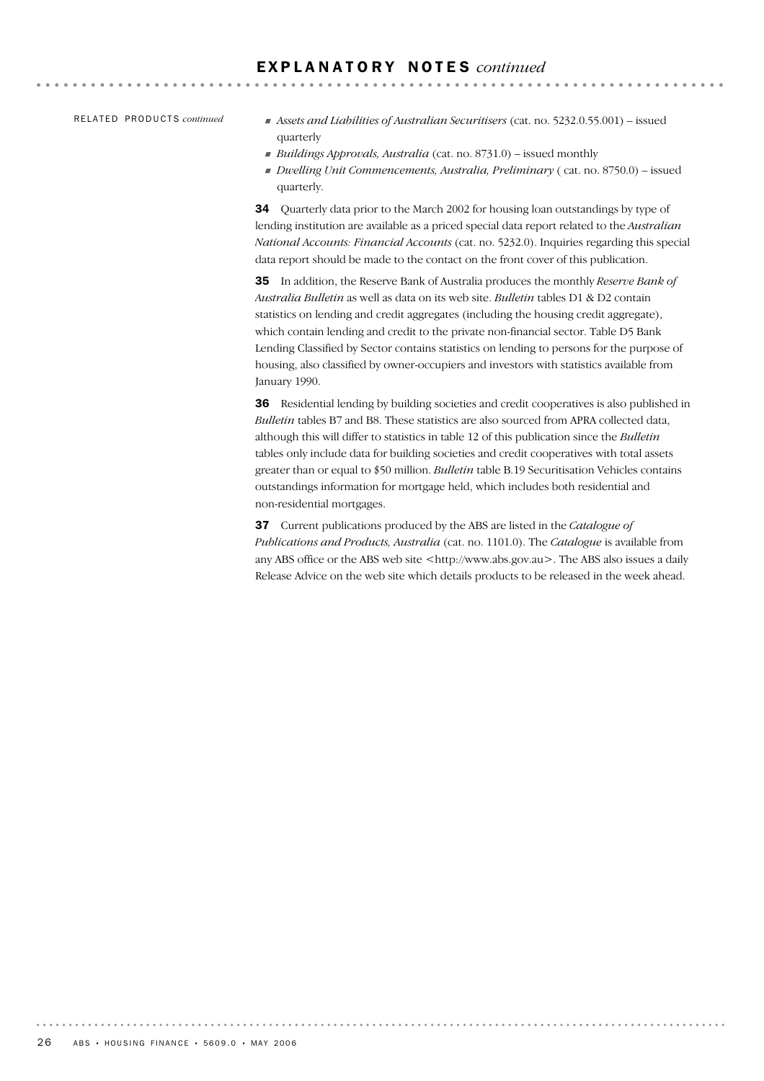RE L A T E D PR O D U C T S *continued*

- ! *Assets and Liabilities of Australian Securitisers* (cat. no. 5232.0.55.001) issued quarterly
- ! *Buildings Approvals, Australia* (cat. no. 8731.0) issued monthly
- ! *Dwelling Unit Commencements, Australia, Preliminary* ( cat. no. 8750.0) issued quarterly.

34 Ouarterly data prior to the March 2002 for housing loan outstandings by type of lending institution are available as a priced special data report related to the *Australian National Accounts: Financial Accounts* (cat. no. 5232.0). Inquiries regarding this special data report should be made to the contact on the front cover of this publication.

35 In addition, the Reserve Bank of Australia produces the monthly *Reserve Bank of Australia Bulletin* as well as data on its web site. *Bulletin* tables D1 & D2 contain statistics on lending and credit aggregates (including the housing credit aggregate), which contain lending and credit to the private non-financial sector. Table D5 Bank Lending Classified by Sector contains statistics on lending to persons for the purpose of housing, also classified by owner-occupiers and investors with statistics available from January 1990.

36 Residential lending by building societies and credit cooperatives is also published in *Bulletin* tables B7 and B8. These statistics are also sourced from APRA collected data, although this will differ to statistics in table 12 of this publication since the *Bulletin* tables only include data for building societies and credit cooperatives with total assets greater than or equal to \$50 million. *Bulletin* table B.19 Securitisation Vehicles contains outstandings information for mortgage held, which includes both residential and non-residential mortgages.

37 Current publications produced by the ABS are listed in the *Catalogue of Publications and Products, Australia* (cat. no. 1101.0). The *Catalogue* is available from any ABS office or the ABS web site <http://www.abs.gov.au>. The ABS also issues a daily Release Advice on the web site which details products to be released in the week ahead.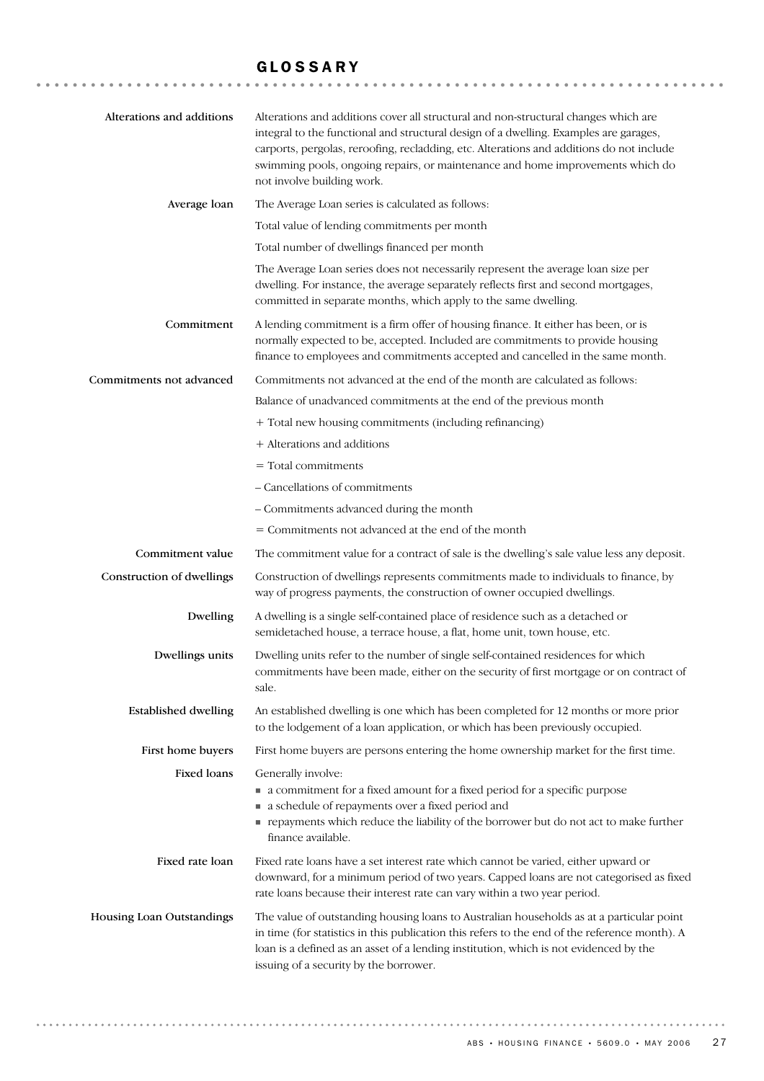## GLOSSARY

| Alterations and additions   | Alterations and additions cover all structural and non-structural changes which are<br>integral to the functional and structural design of a dwelling. Examples are garages,<br>carports, pergolas, reroofing, recladding, etc. Alterations and additions do not include<br>swimming pools, ongoing repairs, or maintenance and home improvements which do<br>not involve building work. |
|-----------------------------|------------------------------------------------------------------------------------------------------------------------------------------------------------------------------------------------------------------------------------------------------------------------------------------------------------------------------------------------------------------------------------------|
| Average loan                | The Average Loan series is calculated as follows:                                                                                                                                                                                                                                                                                                                                        |
|                             | Total value of lending commitments per month                                                                                                                                                                                                                                                                                                                                             |
|                             | Total number of dwellings financed per month                                                                                                                                                                                                                                                                                                                                             |
|                             | The Average Loan series does not necessarily represent the average loan size per<br>dwelling. For instance, the average separately reflects first and second mortgages,<br>committed in separate months, which apply to the same dwelling.                                                                                                                                               |
| Commitment                  | A lending commitment is a firm offer of housing finance. It either has been, or is<br>normally expected to be, accepted. Included are commitments to provide housing<br>finance to employees and commitments accepted and cancelled in the same month.                                                                                                                                   |
| Commitments not advanced    | Commitments not advanced at the end of the month are calculated as follows:                                                                                                                                                                                                                                                                                                              |
|                             | Balance of unadvanced commitments at the end of the previous month                                                                                                                                                                                                                                                                                                                       |
|                             | + Total new housing commitments (including refinancing)                                                                                                                                                                                                                                                                                                                                  |
|                             | + Alterations and additions                                                                                                                                                                                                                                                                                                                                                              |
|                             | $=$ Total commitments                                                                                                                                                                                                                                                                                                                                                                    |
|                             | - Cancellations of commitments                                                                                                                                                                                                                                                                                                                                                           |
|                             | - Commitments advanced during the month                                                                                                                                                                                                                                                                                                                                                  |
|                             | = Commitments not advanced at the end of the month                                                                                                                                                                                                                                                                                                                                       |
| Commitment value            | The commitment value for a contract of sale is the dwelling's sale value less any deposit.                                                                                                                                                                                                                                                                                               |
| Construction of dwellings   | Construction of dwellings represents commitments made to individuals to finance, by<br>way of progress payments, the construction of owner occupied dwellings.                                                                                                                                                                                                                           |
| Dwelling                    | A dwelling is a single self-contained place of residence such as a detached or<br>semidetached house, a terrace house, a flat, home unit, town house, etc.                                                                                                                                                                                                                               |
| Dwellings units             | Dwelling units refer to the number of single self-contained residences for which<br>commitments have been made, either on the security of first mortgage or on contract of<br>sale.                                                                                                                                                                                                      |
| <b>Established dwelling</b> | An established dwelling is one which has been completed for 12 months or more prior<br>to the lodgement of a loan application, or which has been previously occupied.                                                                                                                                                                                                                    |
| First home buyers           | First home buyers are persons entering the home ownership market for the first time.                                                                                                                                                                                                                                                                                                     |
| Fixed loans                 | Generally involve:<br>• a commitment for a fixed amount for a fixed period for a specific purpose<br>a schedule of repayments over a fixed period and<br>٠<br>payments which reduce the liability of the borrower but do not act to make further<br>finance available.                                                                                                                   |
| Fixed rate loan             | Fixed rate loans have a set interest rate which cannot be varied, either upward or<br>downward, for a minimum period of two years. Capped loans are not categorised as fixed<br>rate loans because their interest rate can vary within a two year period.                                                                                                                                |
| Housing Loan Outstandings   | The value of outstanding housing loans to Australian households as at a particular point<br>in time (for statistics in this publication this refers to the end of the reference month). A<br>loan is a defined as an asset of a lending institution, which is not evidenced by the<br>issuing of a security by the borrower.                                                             |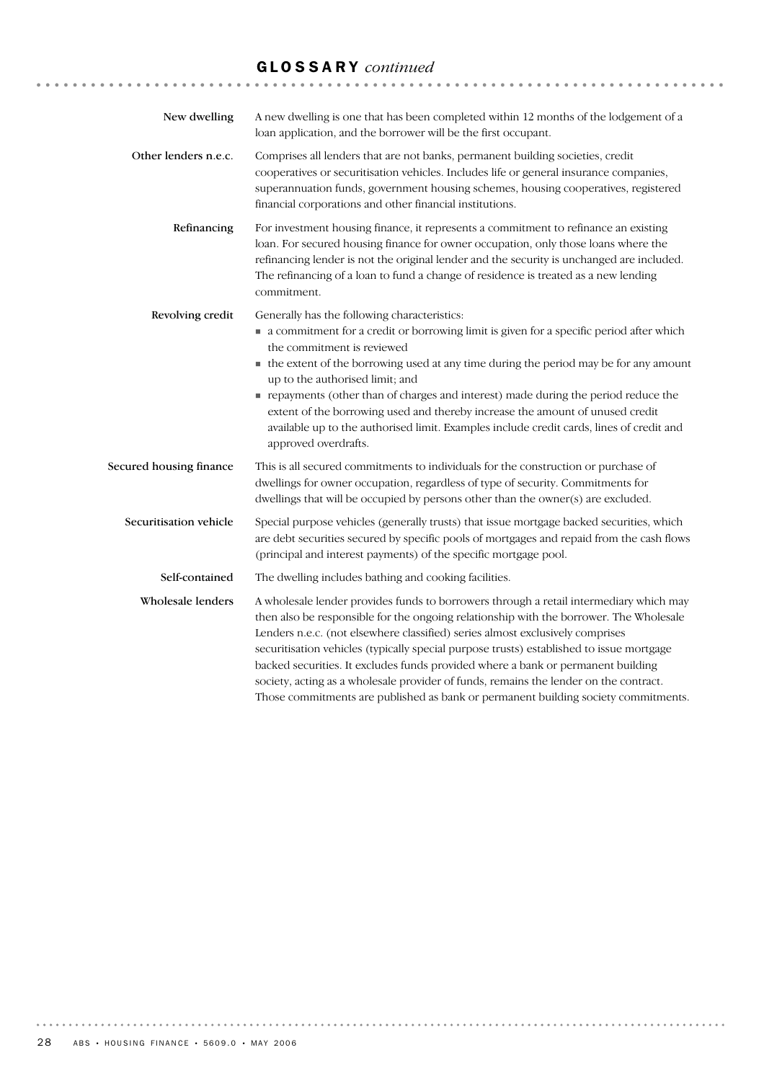# GLOSSARY *continued*

| New dwelling            | A new dwelling is one that has been completed within 12 months of the lodgement of a<br>loan application, and the borrower will be the first occupant.                                                                                                                                                                                                                                                                                                                                                                                                                                                                           |
|-------------------------|----------------------------------------------------------------------------------------------------------------------------------------------------------------------------------------------------------------------------------------------------------------------------------------------------------------------------------------------------------------------------------------------------------------------------------------------------------------------------------------------------------------------------------------------------------------------------------------------------------------------------------|
| Other lenders n.e.c.    | Comprises all lenders that are not banks, permanent building societies, credit<br>cooperatives or securitisation vehicles. Includes life or general insurance companies,<br>superannuation funds, government housing schemes, housing cooperatives, registered<br>financial corporations and other financial institutions.                                                                                                                                                                                                                                                                                                       |
| Refinancing             | For investment housing finance, it represents a commitment to refinance an existing<br>loan. For secured housing finance for owner occupation, only those loans where the<br>refinancing lender is not the original lender and the security is unchanged are included.<br>The refinancing of a loan to fund a change of residence is treated as a new lending<br>commitment.                                                                                                                                                                                                                                                     |
| Revolving credit        | Generally has the following characteristics:<br>• a commitment for a credit or borrowing limit is given for a specific period after which<br>the commitment is reviewed<br>• the extent of the borrowing used at any time during the period may be for any amount<br>up to the authorised limit; and<br>repayments (other than of charges and interest) made during the period reduce the<br>extent of the borrowing used and thereby increase the amount of unused credit<br>available up to the authorised limit. Examples include credit cards, lines of credit and<br>approved overdrafts.                                   |
| Secured housing finance | This is all secured commitments to individuals for the construction or purchase of<br>dwellings for owner occupation, regardless of type of security. Commitments for<br>dwellings that will be occupied by persons other than the owner(s) are excluded.                                                                                                                                                                                                                                                                                                                                                                        |
| Securitisation vehicle  | Special purpose vehicles (generally trusts) that issue mortgage backed securities, which<br>are debt securities secured by specific pools of mortgages and repaid from the cash flows<br>(principal and interest payments) of the specific mortgage pool.                                                                                                                                                                                                                                                                                                                                                                        |
| Self-contained          | The dwelling includes bathing and cooking facilities.                                                                                                                                                                                                                                                                                                                                                                                                                                                                                                                                                                            |
| Wholesale lenders       | A wholesale lender provides funds to borrowers through a retail intermediary which may<br>then also be responsible for the ongoing relationship with the borrower. The Wholesale<br>Lenders n.e.c. (not elsewhere classified) series almost exclusively comprises<br>securitisation vehicles (typically special purpose trusts) established to issue mortgage<br>backed securities. It excludes funds provided where a bank or permanent building<br>society, acting as a wholesale provider of funds, remains the lender on the contract.<br>Those commitments are published as bank or permanent building society commitments. |